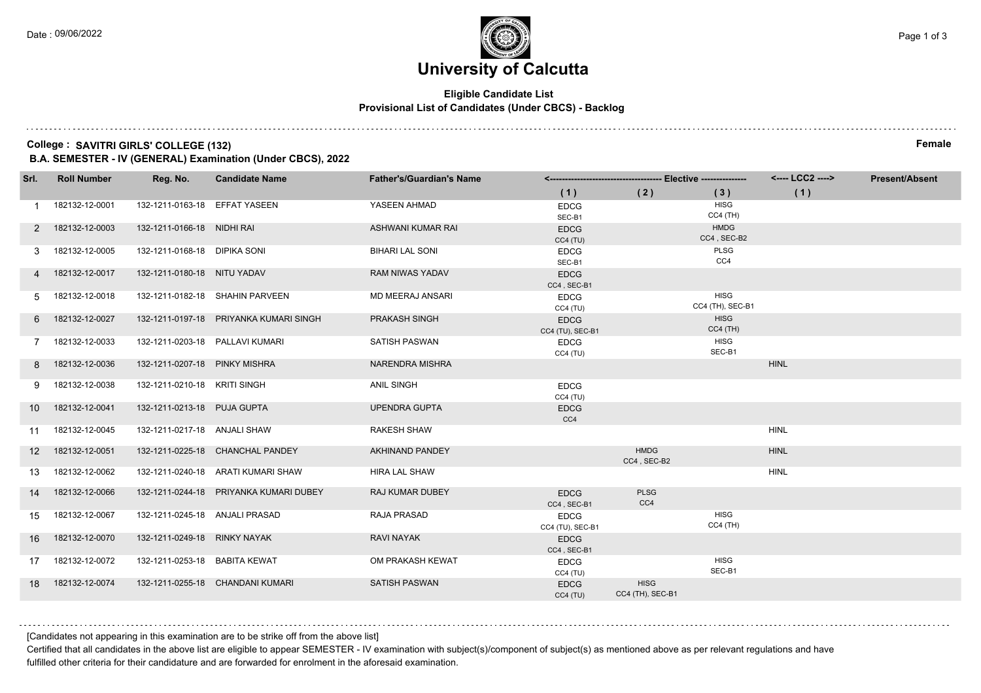#### **Eligible Candidate List Provisional List of Candidates (Under CBCS) - Backlog**

#### **College : SAVITRI GIRLS' COLLEGE (132) Female**

**B.A. SEMESTER - IV (GENERAL) Examination (Under CBCS), 2022**

| Srl.            | <b>Roll Number</b> | Reg. No.                       | <b>Candidate Name</b>                  | <b>Father's/Guardian's Name</b> |                                 |                                 |                                 | <---- LCC2 ----> | <b>Present/Absent</b> |
|-----------------|--------------------|--------------------------------|----------------------------------------|---------------------------------|---------------------------------|---------------------------------|---------------------------------|------------------|-----------------------|
|                 |                    |                                |                                        |                                 | (1)                             | (2)                             | (3)                             | (1)              |                       |
|                 | 182132-12-0001     | 132-1211-0163-18 EFFAT YASEEN  |                                        | YASEEN AHMAD                    | <b>EDCG</b><br>SEC-B1           |                                 | <b>HISG</b><br>$CC4$ (TH)       |                  |                       |
|                 | 182132-12-0003     | 132-1211-0166-18 NIDHI RAI     |                                        | ASHWANI KUMAR RAI               | <b>EDCG</b><br>CC4(TU)          |                                 | <b>HMDG</b><br>CC4, SEC-B2      |                  |                       |
| 3               | 182132-12-0005     | 132-1211-0168-18 DIPIKA SONI   |                                        | <b>BIHARI LAL SONI</b>          | <b>EDCG</b><br>SEC-B1           |                                 | PLSG<br>CC4                     |                  |                       |
|                 | 182132-12-0017     | 132-1211-0180-18 NITU YADAV    |                                        | <b>RAM NIWAS YADAV</b>          | <b>EDCG</b><br>CC4, SEC-B1      |                                 |                                 |                  |                       |
| 5               | 182132-12-0018     |                                | 132-1211-0182-18 SHAHIN PARVEEN        | <b>MD MEERAJ ANSARI</b>         | <b>EDCG</b><br>CC4(TU)          |                                 | <b>HISG</b><br>CC4 (TH), SEC-B1 |                  |                       |
| 6               | 182132-12-0027     |                                | 132-1211-0197-18 PRIYANKA KUMARI SINGH | PRAKASH SINGH                   | <b>EDCG</b><br>CC4 (TU), SEC-B1 |                                 | <b>HISG</b><br>$CC4$ (TH)       |                  |                       |
|                 | 182132-12-0033     |                                | 132-1211-0203-18 PALLAVI KUMARI        | <b>SATISH PASWAN</b>            | <b>EDCG</b><br>CC4(TU)          |                                 | <b>HISG</b><br>SEC-B1           |                  |                       |
|                 | 182132-12-0036     | 132-1211-0207-18 PINKY MISHRA  |                                        | NARENDRA MISHRA                 |                                 |                                 |                                 | <b>HINL</b>      |                       |
| 9               | 182132-12-0038     | 132-1211-0210-18 KRITI SINGH   |                                        | <b>ANIL SINGH</b>               | <b>EDCG</b><br>CC4(TU)          |                                 |                                 |                  |                       |
| 10              | 182132-12-0041     | 132-1211-0213-18 PUJA GUPTA    |                                        | <b>UPENDRA GUPTA</b>            | <b>EDCG</b><br>CC4              |                                 |                                 |                  |                       |
| 11              | 182132-12-0045     | 132-1211-0217-18 ANJALI SHAW   |                                        | <b>RAKESH SHAW</b>              |                                 |                                 |                                 | <b>HINL</b>      |                       |
| 12 <sup>2</sup> | 182132-12-0051     |                                | 132-1211-0225-18 CHANCHAL PANDEY       | <b>AKHINAND PANDEY</b>          |                                 | <b>HMDG</b><br>CC4, SEC-B2      |                                 | <b>HINL</b>      |                       |
| 13              | 182132-12-0062     |                                | 132-1211-0240-18 ARATI KUMARI SHAW     | <b>HIRA LAL SHAW</b>            |                                 |                                 |                                 | <b>HINL</b>      |                       |
| 14              | 182132-12-0066     |                                | 132-1211-0244-18 PRIYANKA KUMARI DUBEY | RAJ KUMAR DUBEY                 | <b>EDCG</b><br>CC4, SEC-B1      | <b>PLSG</b><br>CC4              |                                 |                  |                       |
| 15              | 182132-12-0067     | 132-1211-0245-18 ANJALI PRASAD |                                        | <b>RAJA PRASAD</b>              | <b>EDCG</b><br>CC4 (TU), SEC-B1 |                                 | <b>HISG</b><br>$CC4$ (TH)       |                  |                       |
| 16              | 182132-12-0070     | 132-1211-0249-18 RINKY NAYAK   |                                        | <b>RAVI NAYAK</b>               | <b>EDCG</b><br>CC4, SEC-B1      |                                 |                                 |                  |                       |
| 17              | 182132-12-0072     | 132-1211-0253-18 BABITA KEWAT  |                                        | OM PRAKASH KEWAT                | <b>EDCG</b><br>CC4(TU)          |                                 | <b>HISG</b><br>SEC-B1           |                  |                       |
|                 | 18 182132-12-0074  |                                | 132-1211-0255-18 CHANDANI KUMARI       | <b>SATISH PASWAN</b>            | <b>EDCG</b><br>CC4(TU)          | <b>HISG</b><br>CC4 (TH), SEC-B1 |                                 |                  |                       |

[Candidates not appearing in this examination are to be strike off from the above list]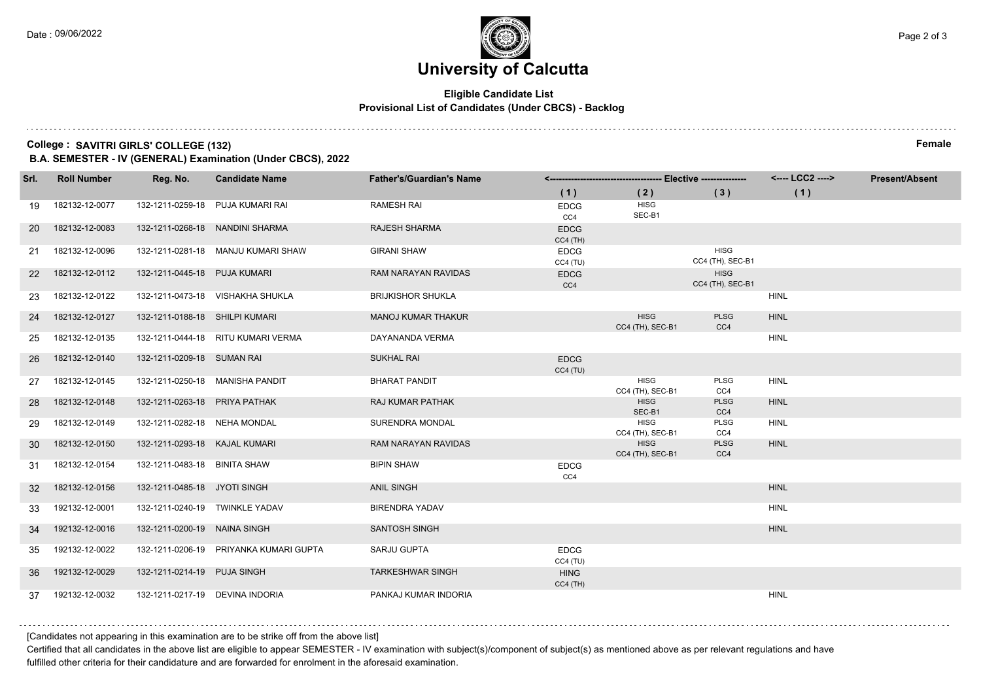#### **Eligible Candidate List Provisional List of Candidates (Under CBCS) - Backlog**

#### **College : SAVITRI GIRLS' COLLEGE (132) Female**

**B.A. SEMESTER - IV (GENERAL) Examination (Under CBCS), 2022**

| Srl.      | <b>Roll Number</b> | Reg. No.                       | <b>Candidate Name</b>                  | <b>Father's/Guardian's Name</b> |                           |                                 | <---- LCC2 ---->                | <b>Present/Absent</b> |  |
|-----------|--------------------|--------------------------------|----------------------------------------|---------------------------------|---------------------------|---------------------------------|---------------------------------|-----------------------|--|
|           |                    |                                |                                        |                                 | (1)                       | (2)                             | (3)                             | (1)                   |  |
| 19        | 182132-12-0077     |                                | 132-1211-0259-18 PUJA KUMARI RAI       | <b>RAMESH RAI</b>               | <b>EDCG</b><br>CC4        | <b>HISG</b><br>SEC-B1           |                                 |                       |  |
| <b>20</b> | 182132-12-0083     |                                | 132-1211-0268-18 NANDINI SHARMA        | <b>RAJESH SHARMA</b>            | <b>EDCG</b><br>$CC4$ (TH) |                                 |                                 |                       |  |
| 21        | 182132-12-0096     |                                | 132-1211-0281-18 MANJU KUMARI SHAW     | <b>GIRANI SHAW</b>              | <b>EDCG</b><br>CC4(TU)    |                                 | <b>HISG</b><br>CC4 (TH), SEC-B1 |                       |  |
| 22        | 182132-12-0112     | 132-1211-0445-18 PUJA KUMARI   |                                        | RAM NARAYAN RAVIDAS             | <b>EDCG</b><br>CC4        |                                 | <b>HISG</b><br>CC4 (TH), SEC-B1 |                       |  |
| -23       | 182132-12-0122     |                                | 132-1211-0473-18 VISHAKHA SHUKLA       | <b>BRIJKISHOR SHUKLA</b>        |                           |                                 |                                 | <b>HINL</b>           |  |
| 24        | 182132-12-0127     | 132-1211-0188-18 SHILPI KUMARI |                                        | <b>MANOJ KUMAR THAKUR</b>       |                           | <b>HISG</b><br>CC4 (TH), SEC-B1 | <b>PLSG</b><br>CC4              | <b>HINL</b>           |  |
| 25        | 182132-12-0135     |                                | 132-1211-0444-18 RITU KUMARI VERMA     | DAYANANDA VERMA                 |                           |                                 |                                 | <b>HINL</b>           |  |
| 26        | 182132-12-0140     | 132-1211-0209-18 SUMAN RAI     |                                        | <b>SUKHAL RAI</b>               | <b>EDCG</b><br>CC4(TU)    |                                 |                                 |                       |  |
| 27        | 182132-12-0145     |                                | 132-1211-0250-18 MANISHA PANDIT        | <b>BHARAT PANDIT</b>            |                           | <b>HISG</b><br>CC4 (TH), SEC-B1 | PLSG<br>CC4                     | <b>HINL</b>           |  |
| 28        | 182132-12-0148     | 132-1211-0263-18 PRIYA PATHAK  |                                        | RAJ KUMAR PATHAK                |                           | <b>HISG</b><br>SEC-B1           | <b>PLSG</b><br>CC4              | <b>HINL</b>           |  |
| 29        | 182132-12-0149     | 132-1211-0282-18 NEHA MONDAL   |                                        | SURENDRA MONDAL                 |                           | <b>HISG</b><br>CC4 (TH), SEC-B1 | PLSG<br>CC4                     | <b>HINL</b>           |  |
| -30       | 182132-12-0150     | 132-1211-0293-18 KAJAL KUMARI  |                                        | RAM NARAYAN RAVIDAS             |                           | <b>HISG</b><br>CC4 (TH), SEC-B1 | <b>PLSG</b><br>CC4              | <b>HINL</b>           |  |
| 31        | 182132-12-0154     | 132-1211-0483-18 BINITA SHAW   |                                        | <b>BIPIN SHAW</b>               | <b>EDCG</b><br>CC4        |                                 |                                 |                       |  |
| 32        | 182132-12-0156     | 132-1211-0485-18 JYOTI SINGH   |                                        | <b>ANIL SINGH</b>               |                           |                                 |                                 | <b>HINL</b>           |  |
| 33        | 192132-12-0001     |                                | 132-1211-0240-19 TWINKLE YADAV         | <b>BIRENDRA YADAV</b>           |                           |                                 |                                 | <b>HINL</b>           |  |
| 34        | 192132-12-0016     | 132-1211-0200-19 NAINA SINGH   |                                        | <b>SANTOSH SINGH</b>            |                           |                                 |                                 | <b>HINL</b>           |  |
| 35        | 192132-12-0022     |                                | 132-1211-0206-19 PRIYANKA KUMARI GUPTA | SARJU GUPTA                     | <b>EDCG</b><br>CC4(TU)    |                                 |                                 |                       |  |
| 36        | 192132-12-0029     | 132-1211-0214-19 PUJA SINGH    |                                        | <b>TARKESHWAR SINGH</b>         | <b>HING</b><br>$CC4$ (TH) |                                 |                                 |                       |  |
|           | 37 192132-12-0032  |                                | 132-1211-0217-19 DEVINA INDORIA        | PANKAJ KUMAR INDORIA            |                           |                                 |                                 | <b>HINL</b>           |  |

[Candidates not appearing in this examination are to be strike off from the above list]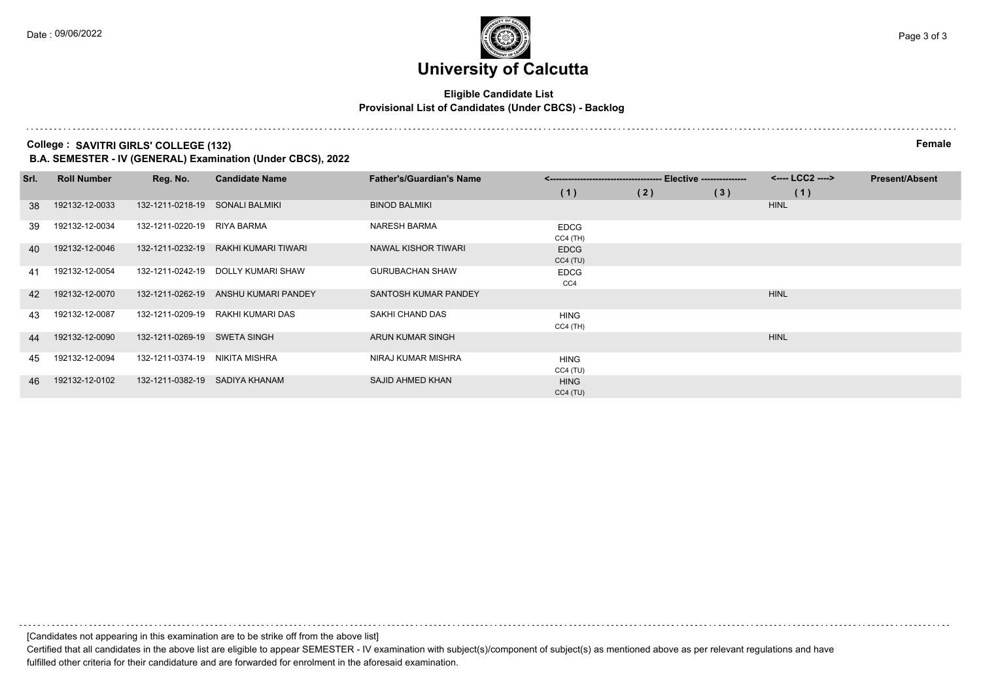#### **Eligible Candidate List Provisional List of Candidates (Under CBCS) - Backlog**

**College : SAVITRI GIRLS' COLLEGE (132) Female**

**B.A. SEMESTER - IV (GENERAL) Examination (Under CBCS), 2022**

| Srl. | <b>Roll Number</b> | Reg. No.                        | <b>Candidate Name</b>                | <b>Father's/Guardian's Name</b> |                           |     | <---- LCC2 ----> | <b>Present/Absent</b> |  |
|------|--------------------|---------------------------------|--------------------------------------|---------------------------------|---------------------------|-----|------------------|-----------------------|--|
|      |                    |                                 |                                      |                                 | (1)                       | (2) | (3)              | (1)                   |  |
| 38   | 192132-12-0033     | 132-1211-0218-19 SONALI BALMIKI |                                      | <b>BINOD BALMIKI</b>            |                           |     |                  | <b>HINL</b>           |  |
| 39   | 192132-12-0034     | 132-1211-0220-19                | RIYA BARMA                           | <b>NARESH BARMA</b>             | <b>EDCG</b><br>$CC4$ (TH) |     |                  |                       |  |
| 40   | 192132-12-0046     |                                 | 132-1211-0232-19 RAKHI KUMARI TIWARI | NAWAL KISHOR TIWARI             | <b>EDCG</b><br>CC4(TU)    |     |                  |                       |  |
| 41   | 192132-12-0054     |                                 | 132-1211-0242-19 DOLLY KUMARI SHAW   | <b>GURUBACHAN SHAW</b>          | <b>EDCG</b><br>CC4        |     |                  |                       |  |
| 42   | 192132-12-0070     |                                 | 132-1211-0262-19 ANSHU KUMARI PANDEY | SANTOSH KUMAR PANDEY            |                           |     |                  | <b>HINL</b>           |  |
| 43   | 192132-12-0087     |                                 | 132-1211-0209-19 RAKHI KUMARI DAS    | SAKHI CHAND DAS                 | <b>HING</b><br>CC4 (TH)   |     |                  |                       |  |
| 44   | 192132-12-0090     | 132-1211-0269-19 SWETA SINGH    |                                      | ARUN KUMAR SINGH                |                           |     |                  | <b>HINL</b>           |  |
| 45   | 192132-12-0094     | 132-1211-0374-19                | NIKITA MISHRA                        | NIRAJ KUMAR MISHRA              | <b>HING</b><br>CC4 (TU)   |     |                  |                       |  |
| 46   | 192132-12-0102     | 132-1211-0382-19 SADIYA KHANAM  |                                      | SAJID AHMED KHAN                | <b>HING</b><br>CC4(TU)    |     |                  |                       |  |

[Candidates not appearing in this examination are to be strike off from the above list]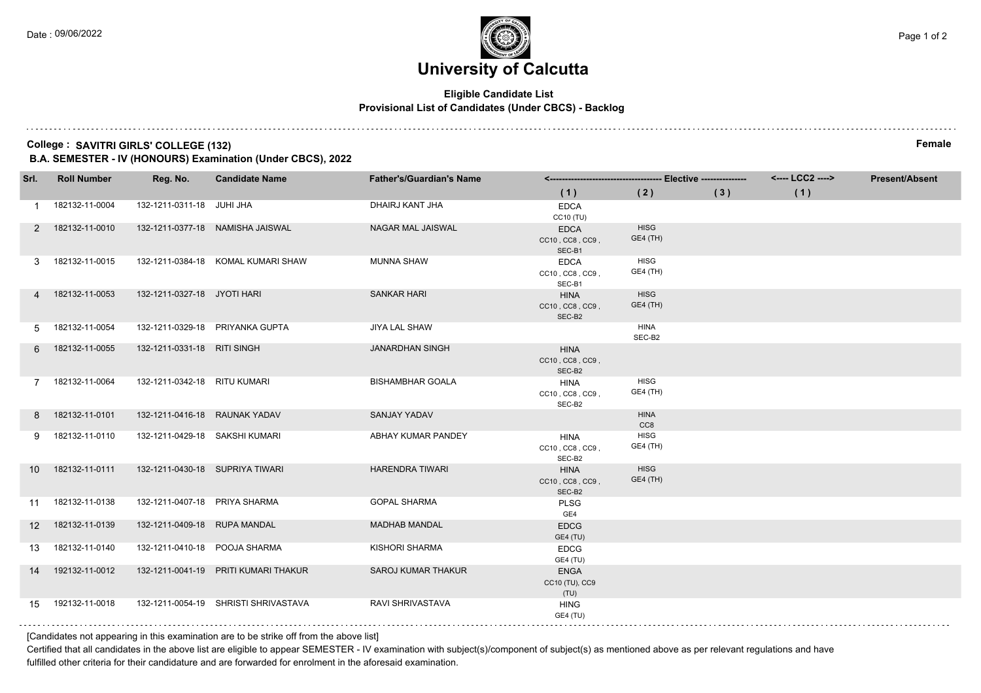#### **Eligible Candidate List Provisional List of Candidates (Under CBCS) - Backlog**

#### **College : SAVITRI GIRLS' COLLEGE (132) Female**

**B.A. SEMESTER - IV (HONOURS) Examination (Under CBCS), 2022**

| Srl.            | <b>Roll Number</b> | Reg. No.                        | <b>Candidate Name</b>                | <b>Father's/Guardian's Name</b> |                                          |                                |     | <---- LCC2 ----> | <b>Present/Absent</b> |
|-----------------|--------------------|---------------------------------|--------------------------------------|---------------------------------|------------------------------------------|--------------------------------|-----|------------------|-----------------------|
|                 |                    |                                 |                                      |                                 | (1)                                      | (2)                            | (3) | (1)              |                       |
|                 | 182132-11-0004     | 132-1211-0311-18 JUHI JHA       |                                      | DHAIRJ KANT JHA                 | <b>EDCA</b><br>CC10 (TU)                 |                                |     |                  |                       |
|                 | 2 182132-11-0010   |                                 | 132-1211-0377-18 NAMISHA JAISWAL     | NAGAR MAL JAISWAL               | <b>EDCA</b><br>CC10, CC8, CC9,<br>SEC-B1 | <b>HISG</b><br><b>GE4 (TH)</b> |     |                  |                       |
| 3               | 182132-11-0015     |                                 | 132-1211-0384-18 KOMAL KUMARI SHAW   | <b>MUNNA SHAW</b>               | <b>EDCA</b><br>CC10, CC8, CC9,<br>SEC-B1 | <b>HISG</b><br>GE4 (TH)        |     |                  |                       |
|                 | 4 182132-11-0053   | 132-1211-0327-18 JYOTI HARI     |                                      | <b>SANKAR HARI</b>              | <b>HINA</b><br>CC10, CC8, CC9,<br>SEC-B2 | <b>HISG</b><br>GE4 (TH)        |     |                  |                       |
| 5.              | 182132-11-0054     |                                 | 132-1211-0329-18 PRIYANKA GUPTA      | JIYA LAL SHAW                   |                                          | <b>HINA</b><br>SEC-B2          |     |                  |                       |
| 6               | 182132-11-0055     | 132-1211-0331-18 RITI SINGH     |                                      | <b>JANARDHAN SINGH</b>          | <b>HINA</b><br>CC10, CC8, CC9,<br>SEC-B2 |                                |     |                  |                       |
| $7^{\circ}$     | 182132-11-0064     | 132-1211-0342-18 RITU KUMARI    |                                      | <b>BISHAMBHAR GOALA</b>         | <b>HINA</b><br>CC10, CC8, CC9,<br>SEC-B2 | <b>HISG</b><br>GE4 (TH)        |     |                  |                       |
| 8               | 182132-11-0101     | 132-1211-0416-18 RAUNAK YADAV   |                                      | SANJAY YADAV                    |                                          | <b>HINA</b><br>CC8             |     |                  |                       |
| 9               | 182132-11-0110     | 132-1211-0429-18 SAKSHI KUMARI  |                                      | ABHAY KUMAR PANDEY              | <b>HINA</b><br>CC10, CC8, CC9,<br>SEC-B2 | <b>HISG</b><br>GE4 (TH)        |     |                  |                       |
| 10 <sup>1</sup> | 182132-11-0111     | 132-1211-0430-18 SUPRIYA TIWARI |                                      | <b>HARENDRA TIWARI</b>          | <b>HINA</b><br>CC10, CC8, CC9,<br>SEC-B2 | <b>HISG</b><br>GE4 (TH)        |     |                  |                       |
| 11              | 182132-11-0138     | 132-1211-0407-18 PRIYA SHARMA   |                                      | <b>GOPAL SHARMA</b>             | <b>PLSG</b><br>GE4                       |                                |     |                  |                       |
| 12              | 182132-11-0139     | 132-1211-0409-18 RUPA MANDAL    |                                      | <b>MADHAB MANDAL</b>            | <b>EDCG</b><br>GE4 (TU)                  |                                |     |                  |                       |
| 13              | 182132-11-0140     | 132-1211-0410-18 POOJA SHARMA   |                                      | KISHORI SHARMA                  | <b>EDCG</b><br>GE4 (TU)                  |                                |     |                  |                       |
| 14              | 192132-11-0012     |                                 | 132-1211-0041-19 PRITI KUMARI THAKUR | <b>SAROJ KUMAR THAKUR</b>       | <b>ENGA</b><br>CC10 (TU), CC9<br>(TU)    |                                |     |                  |                       |
| 15              | 192132-11-0018     |                                 | 132-1211-0054-19 SHRISTI SHRIVASTAVA | <b>RAVI SHRIVASTAVA</b>         | <b>HING</b><br>GE4 (TU)                  |                                |     |                  |                       |

[Candidates not appearing in this examination are to be strike off from the above list]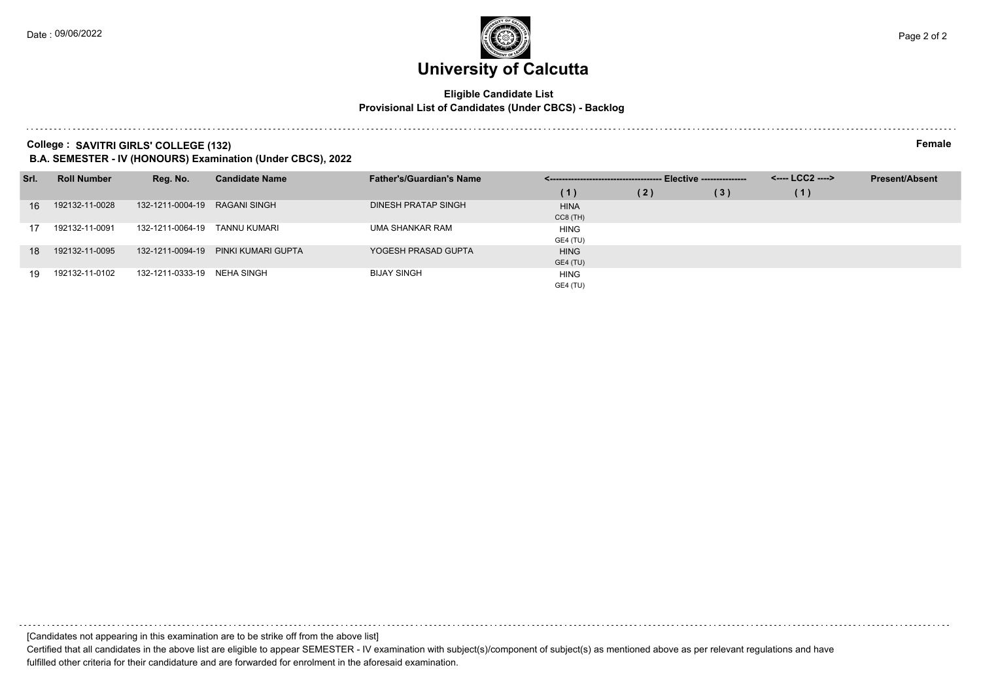#### **Eligible Candidate List Provisional List of Candidates (Under CBCS) - Backlog**

#### **College : SAVITRI GIRLS' COLLEGE (132) Female**

**B.A. SEMESTER - IV (HONOURS) Examination (Under CBCS), 2022**

| Srl. | <b>Roll Number</b> | Reg. No.                      | <b>Candidate Name</b>               | <b>Father's/Guardian's Name</b> |             | - Elective --------------- |     | <---- LCC2 ----> | <b>Present/Absent</b> |
|------|--------------------|-------------------------------|-------------------------------------|---------------------------------|-------------|----------------------------|-----|------------------|-----------------------|
|      |                    |                               |                                     |                                 | (1)         | (2)                        | (3) | (1)              |                       |
| 16   | 192132-11-0028     | 132-1211-0004-19 RAGANI SINGH |                                     | DINESH PRATAP SINGH             | <b>HINA</b> |                            |     |                  |                       |
|      |                    |                               |                                     |                                 | $CC8$ (TH)  |                            |     |                  |                       |
| 17   | 192132-11-0091     | 132-1211-0064-19              | TANNU KUMARI                        | UMA SHANKAR RAM                 | <b>HING</b> |                            |     |                  |                       |
|      |                    |                               |                                     |                                 | GE4 (TU)    |                            |     |                  |                       |
| 18   | 192132-11-0095     |                               | 132-1211-0094-19 PINKI KUMARI GUPTA | YOGESH PRASAD GUPTA             | <b>HING</b> |                            |     |                  |                       |
|      |                    |                               |                                     |                                 | GE4 (TU)    |                            |     |                  |                       |
| 19   | 192132-11-0102     | 132-1211-0333-19 NEHA SINGH   |                                     | <b>BIJAY SINGH</b>              | <b>HING</b> |                            |     |                  |                       |
|      |                    |                               |                                     |                                 | GE4 (TU)    |                            |     |                  |                       |

[Candidates not appearing in this examination are to be strike off from the above list]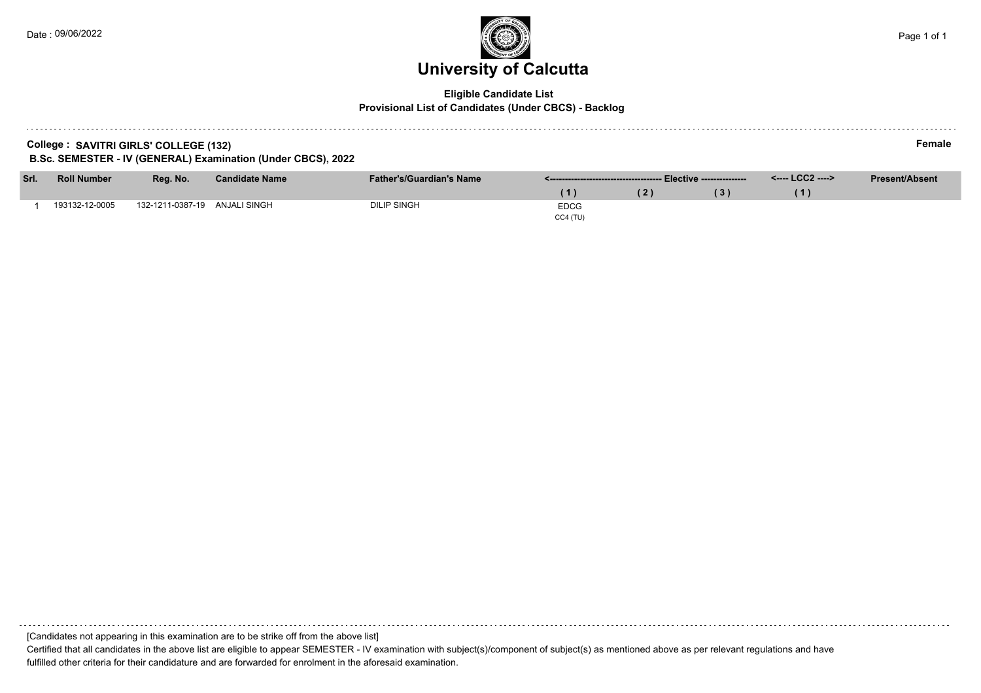### **University of Calcutta**  Date : 09/06/2022 Page 1 of 1

#### **Eligible Candidate List Provisional List of Candidates (Under CBCS) - Backlog**

| College: SAVITRI GIRLS' COLLEGE (132) | Female |
|---------------------------------------|--------|
|---------------------------------------|--------|

**B.Sc. SEMESTER - IV (GENERAL) Examination (Under CBCS), 2022**

| Srl. | <b>Roll Number</b> | Reg. No.         | <b>Candidate Name</b> | <b>Father's/Guardian's Name</b> |             |  |  | <---- LCC2 ----> | <b>Present/Absent</b> |
|------|--------------------|------------------|-----------------------|---------------------------------|-------------|--|--|------------------|-----------------------|
|      |                    |                  |                       |                                 |             |  |  |                  |                       |
|      | 193132-12-0005     | 132-1211-0387-19 | ANJALI SINGH          | <b>DILIP SINGH</b>              | <b>EDCG</b> |  |  |                  |                       |
|      |                    |                  |                       |                                 | CC4(TU)     |  |  |                  |                       |

[Candidates not appearing in this examination are to be strike off from the above list] Certified that all candidates in the above list are eligible to appear SEMESTER - IV examination with subject(s)/component of subject(s) as mentioned above as per relevant regulations and have fulfilled other criteria for their candidature and are forwarded for enrolment in the aforesaid examination.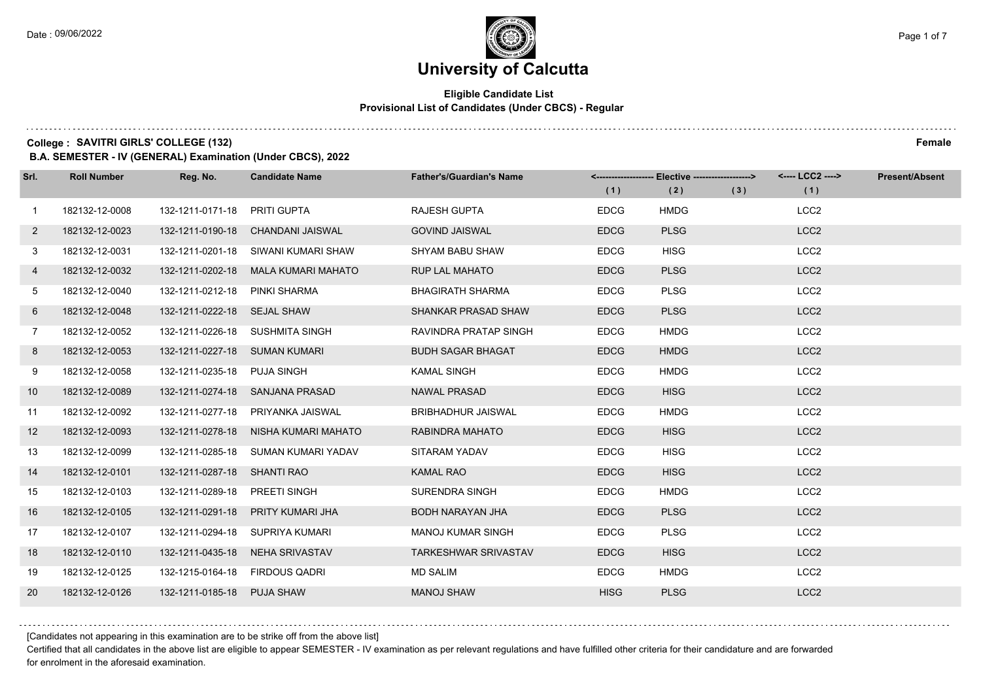#### **Eligible Candidate List Provisional List of Candidates (Under CBCS) - Regular**

**College :** SAVITRI GIRLS' COLLEGE (132) Female

**B.A. SEMESTER - IV (GENERAL) Examination (Under CBCS), 2022**

| Srl.         | <b>Roll Number</b> | Reg. No.                       | <b>Candidate Name</b>                | <b>Father's/Guardian's Name</b> |             | <------------------- Elective ------------------> |     | <---- LCC2 ----> | <b>Present/Absent</b> |
|--------------|--------------------|--------------------------------|--------------------------------------|---------------------------------|-------------|---------------------------------------------------|-----|------------------|-----------------------|
|              |                    |                                |                                      |                                 | (1)         | (2)                                               | (3) | (1)              |                       |
| $\mathbf{1}$ | 182132-12-0008     | 132-1211-0171-18               | <b>PRITI GUPTA</b>                   | <b>RAJESH GUPTA</b>             | <b>EDCG</b> | <b>HMDG</b>                                       |     | LCC <sub>2</sub> |                       |
| $\mathbf{2}$ | 182132-12-0023     | 132-1211-0190-18               | CHANDANI JAISWAL                     | <b>GOVIND JAISWAL</b>           | <b>EDCG</b> | <b>PLSG</b>                                       |     | LCC <sub>2</sub> |                       |
| 3            | 182132-12-0031     |                                | 132-1211-0201-18 SIWANI KUMARI SHAW  | <b>SHYAM BABU SHAW</b>          | <b>EDCG</b> | <b>HISG</b>                                       |     | LCC <sub>2</sub> |                       |
| 4            | 182132-12-0032     | 132-1211-0202-18               | <b>MALA KUMARI MAHATO</b>            | <b>RUP LAL MAHATO</b>           | <b>EDCG</b> | <b>PLSG</b>                                       |     | LCC <sub>2</sub> |                       |
| 5            | 182132-12-0040     | 132-1211-0212-18               | PINKI SHARMA                         | <b>BHAGIRATH SHARMA</b>         | <b>EDCG</b> | <b>PLSG</b>                                       |     | LCC <sub>2</sub> |                       |
| 6            | 182132-12-0048     | 132-1211-0222-18 SEJAL SHAW    |                                      | SHANKAR PRASAD SHAW             | <b>EDCG</b> | <b>PLSG</b>                                       |     | LCC <sub>2</sub> |                       |
| $7^{\circ}$  | 182132-12-0052     |                                | 132-1211-0226-18 SUSHMITA SINGH      | RAVINDRA PRATAP SINGH           | <b>EDCG</b> | <b>HMDG</b>                                       |     | LCC <sub>2</sub> |                       |
| 8            | 182132-12-0053     | 132-1211-0227-18 SUMAN KUMARI  |                                      | <b>BUDH SAGAR BHAGAT</b>        | <b>EDCG</b> | <b>HMDG</b>                                       |     | LCC <sub>2</sub> |                       |
| 9            | 182132-12-0058     | 132-1211-0235-18 PUJA SINGH    |                                      | <b>KAMAL SINGH</b>              | <b>EDCG</b> | <b>HMDG</b>                                       |     | LCC <sub>2</sub> |                       |
| 10           | 182132-12-0089     |                                | 132-1211-0274-18 SANJANA PRASAD      | <b>NAWAL PRASAD</b>             | <b>EDCG</b> | <b>HISG</b>                                       |     | LCC <sub>2</sub> |                       |
| 11           | 182132-12-0092     |                                | 132-1211-0277-18 PRIYANKA JAISWAL    | <b>BRIBHADHUR JAISWAL</b>       | <b>EDCG</b> | <b>HMDG</b>                                       |     | LCC <sub>2</sub> |                       |
| 12           | 182132-12-0093     |                                | 132-1211-0278-18 NISHA KUMARI MAHATO | RABINDRA MAHATO                 | <b>EDCG</b> | <b>HISG</b>                                       |     | LCC <sub>2</sub> |                       |
| 13           | 182132-12-0099     | 132-1211-0285-18               | SUMAN KUMARI YADAV                   | SITARAM YADAV                   | <b>EDCG</b> | <b>HISG</b>                                       |     | LCC <sub>2</sub> |                       |
| 14           | 182132-12-0101     | 132-1211-0287-18 SHANTI RAO    |                                      | <b>KAMAL RAO</b>                | <b>EDCG</b> | <b>HISG</b>                                       |     | LCC <sub>2</sub> |                       |
| 15           | 182132-12-0103     | 132-1211-0289-18 PREETI SINGH  |                                      | <b>SURENDRA SINGH</b>           | <b>EDCG</b> | <b>HMDG</b>                                       |     | LCC <sub>2</sub> |                       |
| 16           | 182132-12-0105     | 132-1211-0291-18               | PRITY KUMARI JHA                     | <b>BODH NARAYAN JHA</b>         | <b>EDCG</b> | <b>PLSG</b>                                       |     | LCC <sub>2</sub> |                       |
| 17           | 182132-12-0107     | 132-1211-0294-18               | SUPRIYA KUMARI                       | <b>MANOJ KUMAR SINGH</b>        | <b>EDCG</b> | <b>PLSG</b>                                       |     | LCC <sub>2</sub> |                       |
| 18           | 182132-12-0110     |                                | 132-1211-0435-18 NEHA SRIVASTAV      | <b>TARKESHWAR SRIVASTAV</b>     | <b>EDCG</b> | <b>HISG</b>                                       |     | LCC <sub>2</sub> |                       |
| 19           | 182132-12-0125     | 132-1215-0164-18 FIRDOUS QADRI |                                      | <b>MD SALIM</b>                 | <b>EDCG</b> | <b>HMDG</b>                                       |     | LCC <sub>2</sub> |                       |
| 20           | 182132-12-0126     | 132-1211-0185-18 PUJA SHAW     |                                      | <b>MANOJ SHAW</b>               | <b>HISG</b> | <b>PLSG</b>                                       |     | LCC <sub>2</sub> |                       |

[Candidates not appearing in this examination are to be strike off from the above list]

Certified that all candidates in the above list are eligible to appear SEMESTER - IV examination as per relevant regulations and have fulfilled other criteria for their candidature and are forwarded for enrolment in the aforesaid examination.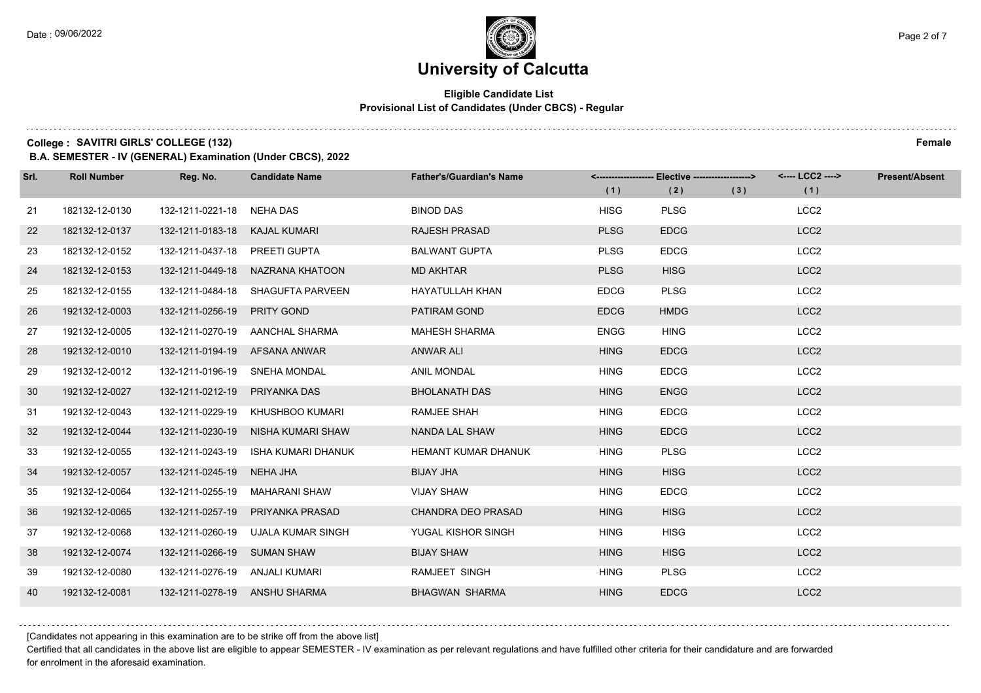#### **Eligible Candidate List Provisional List of Candidates (Under CBCS) - Regular**

**College :** SAVITRI GIRLS' COLLEGE (132) Female

**B.A. SEMESTER - IV (GENERAL) Examination (Under CBCS), 2022**

| Srl. | <b>Roll Number</b> | Reg. No.                       | <b>Candidate Name</b>              | <b>Father's/Guardian's Name</b> |             | <-------------------- Elective ------------------> |     | <---- LCC2 ----> | <b>Present/Absent</b> |
|------|--------------------|--------------------------------|------------------------------------|---------------------------------|-------------|----------------------------------------------------|-----|------------------|-----------------------|
|      |                    |                                |                                    |                                 | (1)         | (2)                                                | (3) | (1)              |                       |
| 21   | 182132-12-0130     | 132-1211-0221-18 NEHA DAS      |                                    | <b>BINOD DAS</b>                | <b>HISG</b> | <b>PLSG</b>                                        |     | LCC <sub>2</sub> |                       |
| 22   | 182132-12-0137     | 132-1211-0183-18 KAJAL KUMARI  |                                    | <b>RAJESH PRASAD</b>            | <b>PLSG</b> | <b>EDCG</b>                                        |     | LCC <sub>2</sub> |                       |
| 23   | 182132-12-0152     | 132-1211-0437-18 PREETI GUPTA  |                                    | <b>BALWANT GUPTA</b>            | <b>PLSG</b> | <b>EDCG</b>                                        |     | LCC <sub>2</sub> |                       |
| 24   | 182132-12-0153     |                                | 132-1211-0449-18 NAZRANA KHATOON   | <b>MD AKHTAR</b>                | <b>PLSG</b> | <b>HISG</b>                                        |     | LCC <sub>2</sub> |                       |
| 25   | 182132-12-0155     | 132-1211-0484-18               | SHAGUFTA PARVEEN                   | <b>HAYATULLAH KHAN</b>          | <b>EDCG</b> | <b>PLSG</b>                                        |     | LCC <sub>2</sub> |                       |
| 26   | 192132-12-0003     | 132-1211-0256-19               | <b>PRITY GOND</b>                  | PATIRAM GOND                    | <b>EDCG</b> | <b>HMDG</b>                                        |     | LCC <sub>2</sub> |                       |
| 27   | 192132-12-0005     |                                | 132-1211-0270-19 AANCHAL SHARMA    | <b>MAHESH SHARMA</b>            | <b>ENGG</b> | <b>HING</b>                                        |     | LCC <sub>2</sub> |                       |
| 28   | 192132-12-0010     | 132-1211-0194-19 AFSANA ANWAR  |                                    | ANWAR ALI                       | <b>HING</b> | <b>EDCG</b>                                        |     | LCC <sub>2</sub> |                       |
| 29   | 192132-12-0012     | 132-1211-0196-19 SNEHA MONDAL  |                                    | ANIL MONDAL                     | <b>HING</b> | <b>EDCG</b>                                        |     | LCC <sub>2</sub> |                       |
| 30   | 192132-12-0027     | 132-1211-0212-19               | PRIYANKA DAS                       | <b>BHOLANATH DAS</b>            | <b>HING</b> | <b>ENGG</b>                                        |     | LCC <sub>2</sub> |                       |
| 31   | 192132-12-0043     |                                | 132-1211-0229-19 KHUSHBOO KUMARI   | <b>RAMJEE SHAH</b>              | <b>HING</b> | <b>EDCG</b>                                        |     | LCC <sub>2</sub> |                       |
| 32   | 192132-12-0044     |                                | 132-1211-0230-19 NISHA KUMARI SHAW | NANDA LAL SHAW                  | <b>HING</b> | <b>EDCG</b>                                        |     | LCC <sub>2</sub> |                       |
| 33   | 192132-12-0055     | 132-1211-0243-19               | ISHA KUMARI DHANUK                 | HEMANT KUMAR DHANUK             | <b>HING</b> | <b>PLSG</b>                                        |     | LCC <sub>2</sub> |                       |
| 34   | 192132-12-0057     | 132-1211-0245-19               | NEHA JHA                           | <b>BIJAY JHA</b>                | <b>HING</b> | <b>HISG</b>                                        |     | LCC <sub>2</sub> |                       |
| 35   | 192132-12-0064     |                                | 132-1211-0255-19 MAHARANI SHAW     | <b>VIJAY SHAW</b>               | <b>HING</b> | <b>EDCG</b>                                        |     | LCC <sub>2</sub> |                       |
| 36   | 192132-12-0065     | 132-1211-0257-19               | PRIYANKA PRASAD                    | <b>CHANDRA DEO PRASAD</b>       | <b>HING</b> | <b>HISG</b>                                        |     | LCC <sub>2</sub> |                       |
| 37   | 192132-12-0068     | 132-1211-0260-19               | UJALA KUMAR SINGH                  | YUGAL KISHOR SINGH              | <b>HING</b> | <b>HISG</b>                                        |     | LCC <sub>2</sub> |                       |
| 38   | 192132-12-0074     | 132-1211-0266-19 SUMAN SHAW    |                                    | <b>BIJAY SHAW</b>               | <b>HING</b> | <b>HISG</b>                                        |     | LCC <sub>2</sub> |                       |
| 39   | 192132-12-0080     | 132-1211-0276-19 ANJALI KUMARI |                                    | RAMJEET SINGH                   | <b>HING</b> | <b>PLSG</b>                                        |     | LCC <sub>2</sub> |                       |
| 40   | 192132-12-0081     | 132-1211-0278-19 ANSHU SHARMA  |                                    | <b>BHAGWAN SHARMA</b>           | <b>HING</b> | <b>EDCG</b>                                        |     | LCC <sub>2</sub> |                       |

[Candidates not appearing in this examination are to be strike off from the above list]

Certified that all candidates in the above list are eligible to appear SEMESTER - IV examination as per relevant regulations and have fulfilled other criteria for their candidature and are forwarded for enrolment in the aforesaid examination.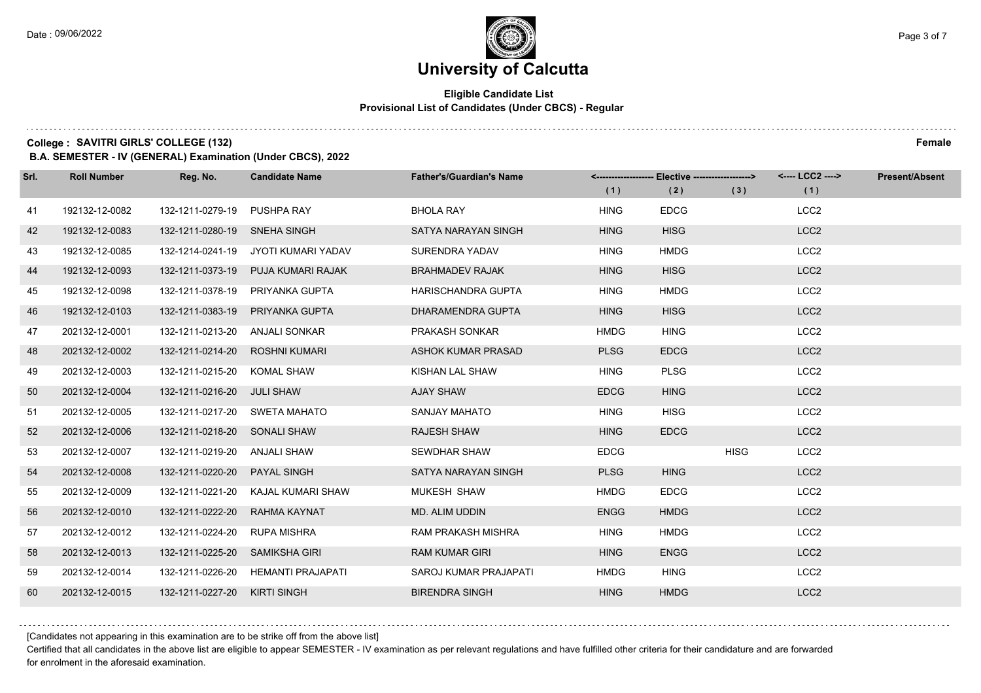#### **Eligible Candidate List Provisional List of Candidates (Under CBCS) - Regular**

**College :** SAVITRI GIRLS' COLLEGE (132) Female

**B.A. SEMESTER - IV (GENERAL) Examination (Under CBCS), 2022**

| Srl. | <b>Roll Number</b> | Reg. No.                       | <b>Candidate Name</b>               | <b>Father's/Guardian's Name</b> |             | <------------------- Elective ------------------> |             | <---- LCC2 ----> | <b>Present/Absent</b> |
|------|--------------------|--------------------------------|-------------------------------------|---------------------------------|-------------|---------------------------------------------------|-------------|------------------|-----------------------|
|      |                    |                                |                                     |                                 | (1)         | (2)                                               | (3)         | (1)              |                       |
| 41   | 192132-12-0082     | 132-1211-0279-19               | <b>PUSHPA RAY</b>                   | <b>BHOLA RAY</b>                | <b>HING</b> | <b>EDCG</b>                                       |             | LCC <sub>2</sub> |                       |
| 42   | 192132-12-0083     | 132-1211-0280-19 SNEHA SINGH   |                                     | SATYA NARAYAN SINGH             | <b>HING</b> | <b>HISG</b>                                       |             | LCC <sub>2</sub> |                       |
| 43   | 192132-12-0085     |                                | 132-1214-0241-19 JYOTI KUMARI YADAV | SURENDRA YADAV                  | <b>HING</b> | <b>HMDG</b>                                       |             | LCC <sub>2</sub> |                       |
| 44   | 192132-12-0093     | 132-1211-0373-19               | PUJA KUMARI RAJAK                   | <b>BRAHMADEV RAJAK</b>          | <b>HING</b> | <b>HISG</b>                                       |             | LCC <sub>2</sub> |                       |
| 45   | 192132-12-0098     | 132-1211-0378-19               | PRIYANKA GUPTA                      | <b>HARISCHANDRA GUPTA</b>       | <b>HING</b> | <b>HMDG</b>                                       |             | LCC <sub>2</sub> |                       |
| 46   | 192132-12-0103     | 132-1211-0383-19               | PRIYANKA GUPTA                      | DHARAMENDRA GUPTA               | <b>HING</b> | <b>HISG</b>                                       |             | LCC <sub>2</sub> |                       |
| 47   | 202132-12-0001     | 132-1211-0213-20 ANJALI SONKAR |                                     | PRAKASH SONKAR                  | <b>HMDG</b> | <b>HING</b>                                       |             | LCC <sub>2</sub> |                       |
| 48   | 202132-12-0002     | 132-1211-0214-20               | ROSHNI KUMARI                       | ASHOK KUMAR PRASAD              | <b>PLSG</b> | <b>EDCG</b>                                       |             | LCC <sub>2</sub> |                       |
| 49   | 202132-12-0003     | 132-1211-0215-20               | <b>KOMAL SHAW</b>                   | KISHAN LAL SHAW                 | <b>HING</b> | <b>PLSG</b>                                       |             | LCC <sub>2</sub> |                       |
| 50   | 202132-12-0004     | 132-1211-0216-20 JULI SHAW     |                                     | AJAY SHAW                       | <b>EDCG</b> | <b>HING</b>                                       |             | LCC <sub>2</sub> |                       |
| 51   | 202132-12-0005     | 132-1211-0217-20 SWETA MAHATO  |                                     | SANJAY MAHATO                   | <b>HING</b> | <b>HISG</b>                                       |             | LCC <sub>2</sub> |                       |
| 52   | 202132-12-0006     | 132-1211-0218-20 SONALI SHAW   |                                     | <b>RAJESH SHAW</b>              | <b>HING</b> | <b>EDCG</b>                                       |             | LCC <sub>2</sub> |                       |
| 53   | 202132-12-0007     | 132-1211-0219-20               | ANJALI SHAW                         | <b>SEWDHAR SHAW</b>             | <b>EDCG</b> |                                                   | <b>HISG</b> | LCC <sub>2</sub> |                       |
| 54   | 202132-12-0008     | 132-1211-0220-20               | <b>PAYAL SINGH</b>                  | SATYA NARAYAN SINGH             | <b>PLSG</b> | <b>HING</b>                                       |             | LCC <sub>2</sub> |                       |
| 55   | 202132-12-0009     | 132-1211-0221-20               | KAJAL KUMARI SHAW                   | <b>MUKESH SHAW</b>              | <b>HMDG</b> | <b>EDCG</b>                                       |             | LCC <sub>2</sub> |                       |
| 56   | 202132-12-0010     | 132-1211-0222-20               | RAHMA KAYNAT                        | MD. ALIM UDDIN                  | <b>ENGG</b> | <b>HMDG</b>                                       |             | LCC <sub>2</sub> |                       |
| 57   | 202132-12-0012     | 132-1211-0224-20               | <b>RUPA MISHRA</b>                  | <b>RAM PRAKASH MISHRA</b>       | <b>HING</b> | <b>HMDG</b>                                       |             | LCC <sub>2</sub> |                       |
| 58   | 202132-12-0013     | 132-1211-0225-20               | SAMIKSHA GIRI                       | <b>RAM KUMAR GIRI</b>           | <b>HING</b> | <b>ENGG</b>                                       |             | LCC <sub>2</sub> |                       |
| 59   | 202132-12-0014     | 132-1211-0226-20               | HEMANTI PRAJAPATI                   | <b>SAROJ KUMAR PRAJAPATI</b>    | <b>HMDG</b> | <b>HING</b>                                       |             | LCC <sub>2</sub> |                       |
| 60   | 202132-12-0015     | 132-1211-0227-20               | <b>KIRTI SINGH</b>                  | <b>BIRENDRA SINGH</b>           | <b>HING</b> | <b>HMDG</b>                                       |             | LCC <sub>2</sub> |                       |

[Candidates not appearing in this examination are to be strike off from the above list]

Certified that all candidates in the above list are eligible to appear SEMESTER - IV examination as per relevant regulations and have fulfilled other criteria for their candidature and are forwarded for enrolment in the aforesaid examination.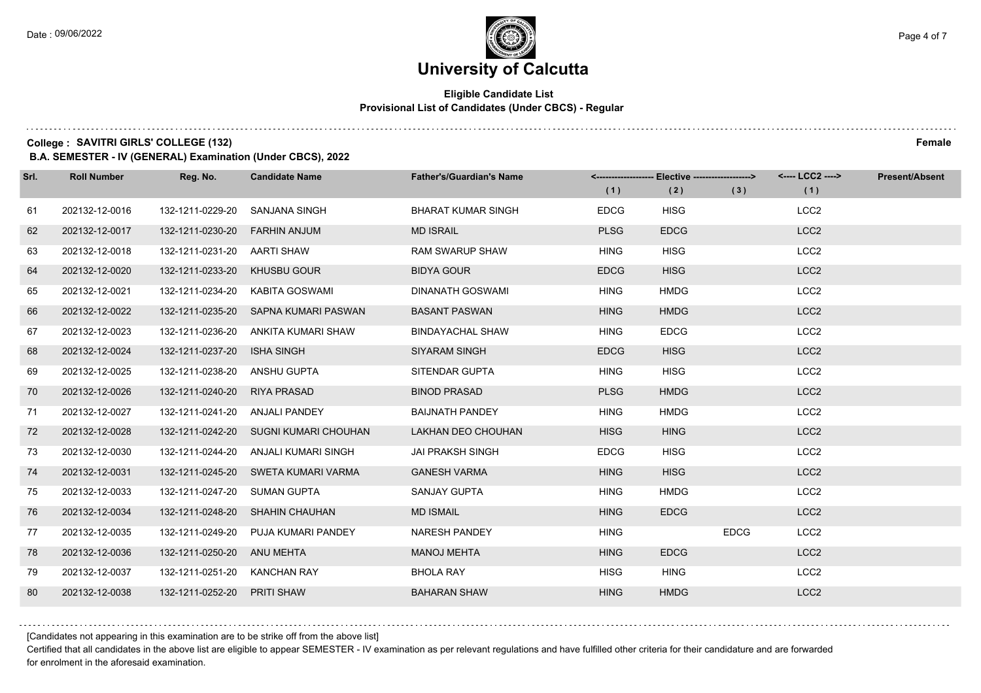#### **Eligible Candidate List Provisional List of Candidates (Under CBCS) - Regular**

**College :** SAVITRI GIRLS' COLLEGE (132) Female

**B.A. SEMESTER - IV (GENERAL) Examination (Under CBCS), 2022**

| Srl. | <b>Roll Number</b> | Reg. No.                       | <b>Candidate Name</b>                 | <b>Father's/Guardian's Name</b> |             | <------------------- Elective ------------------> |             | <---- LCC2 ----> | <b>Present/Absent</b> |
|------|--------------------|--------------------------------|---------------------------------------|---------------------------------|-------------|---------------------------------------------------|-------------|------------------|-----------------------|
|      |                    |                                |                                       |                                 | (1)         | (2)                                               | (3)         | (1)              |                       |
| 61   | 202132-12-0016     | 132-1211-0229-20               | SANJANA SINGH                         | <b>BHARAT KUMAR SINGH</b>       | <b>EDCG</b> | <b>HISG</b>                                       |             | LCC <sub>2</sub> |                       |
| 62   | 202132-12-0017     | 132-1211-0230-20               | <b>FARHIN ANJUM</b>                   | <b>MD ISRAIL</b>                | <b>PLSG</b> | <b>EDCG</b>                                       |             | LCC <sub>2</sub> |                       |
| 63   | 202132-12-0018     | 132-1211-0231-20 AARTI SHAW    |                                       | <b>RAM SWARUP SHAW</b>          | <b>HING</b> | <b>HISG</b>                                       |             | LCC <sub>2</sub> |                       |
| 64   | 202132-12-0020     | 132-1211-0233-20               | <b>KHUSBU GOUR</b>                    | <b>BIDYA GOUR</b>               | <b>EDCG</b> | <b>HISG</b>                                       |             | LCC <sub>2</sub> |                       |
| 65   | 202132-12-0021     | 132-1211-0234-20               | KABITA GOSWAMI                        | <b>DINANATH GOSWAMI</b>         | <b>HING</b> | <b>HMDG</b>                                       |             | LCC <sub>2</sub> |                       |
| 66   | 202132-12-0022     | 132-1211-0235-20               | SAPNA KUMARI PASWAN                   | <b>BASANT PASWAN</b>            | <b>HING</b> | <b>HMDG</b>                                       |             | LCC <sub>2</sub> |                       |
| 67   | 202132-12-0023     | 132-1211-0236-20               | ANKITA KUMARI SHAW                    | <b>BINDAYACHAL SHAW</b>         | <b>HING</b> | <b>EDCG</b>                                       |             | LCC <sub>2</sub> |                       |
| 68   | 202132-12-0024     | 132-1211-0237-20               | <b>ISHA SINGH</b>                     | SIYARAM SINGH                   | <b>EDCG</b> | <b>HISG</b>                                       |             | LCC <sub>2</sub> |                       |
| 69   | 202132-12-0025     | 132-1211-0238-20               | ANSHU GUPTA                           | SITENDAR GUPTA                  | <b>HING</b> | <b>HISG</b>                                       |             | LCC <sub>2</sub> |                       |
| 70   | 202132-12-0026     | 132-1211-0240-20               | <b>RIYA PRASAD</b>                    | <b>BINOD PRASAD</b>             | <b>PLSG</b> | <b>HMDG</b>                                       |             | LCC <sub>2</sub> |                       |
| 71   | 202132-12-0027     | 132-1211-0241-20 ANJALI PANDEY |                                       | <b>BAIJNATH PANDEY</b>          | <b>HING</b> | <b>HMDG</b>                                       |             | LCC <sub>2</sub> |                       |
| 72   | 202132-12-0028     |                                | 132-1211-0242-20 SUGNI KUMARI CHOUHAN | <b>LAKHAN DEO CHOUHAN</b>       | <b>HISG</b> | <b>HING</b>                                       |             | LCC <sub>2</sub> |                       |
| 73   | 202132-12-0030     | 132-1211-0244-20               | ANJALI KUMARI SINGH                   | <b>JAI PRAKSH SINGH</b>         | <b>EDCG</b> | <b>HISG</b>                                       |             | LCC <sub>2</sub> |                       |
| 74   | 202132-12-0031     |                                | 132-1211-0245-20 SWETA KUMARI VARMA   | <b>GANESH VARMA</b>             | <b>HING</b> | <b>HISG</b>                                       |             | LCC <sub>2</sub> |                       |
| 75   | 202132-12-0033     | 132-1211-0247-20               | SUMAN GUPTA                           | SANJAY GUPTA                    | <b>HING</b> | <b>HMDG</b>                                       |             | LCC <sub>2</sub> |                       |
| 76   | 202132-12-0034     | 132-1211-0248-20               | <b>SHAHIN CHAUHAN</b>                 | <b>MD ISMAIL</b>                | <b>HING</b> | <b>EDCG</b>                                       |             | LCC <sub>2</sub> |                       |
| 77   | 202132-12-0035     | 132-1211-0249-20               | PUJA KUMARI PANDEY                    | NARESH PANDEY                   | <b>HING</b> |                                                   | <b>EDCG</b> | LCC <sub>2</sub> |                       |
| 78   | 202132-12-0036     | 132-1211-0250-20               | ANU MEHTA                             | <b>MANOJ MEHTA</b>              | <b>HING</b> | <b>EDCG</b>                                       |             | LCC <sub>2</sub> |                       |
| 79   | 202132-12-0037     | 132-1211-0251-20               | <b>KANCHAN RAY</b>                    | <b>BHOLA RAY</b>                | <b>HISG</b> | <b>HING</b>                                       |             | LCC <sub>2</sub> |                       |
| 80   | 202132-12-0038     | 132-1211-0252-20               | <b>PRITI SHAW</b>                     | <b>BAHARAN SHAW</b>             | <b>HING</b> | <b>HMDG</b>                                       |             | LCC <sub>2</sub> |                       |

[Candidates not appearing in this examination are to be strike off from the above list]

Certified that all candidates in the above list are eligible to appear SEMESTER - IV examination as per relevant regulations and have fulfilled other criteria for their candidature and are forwarded for enrolment in the aforesaid examination.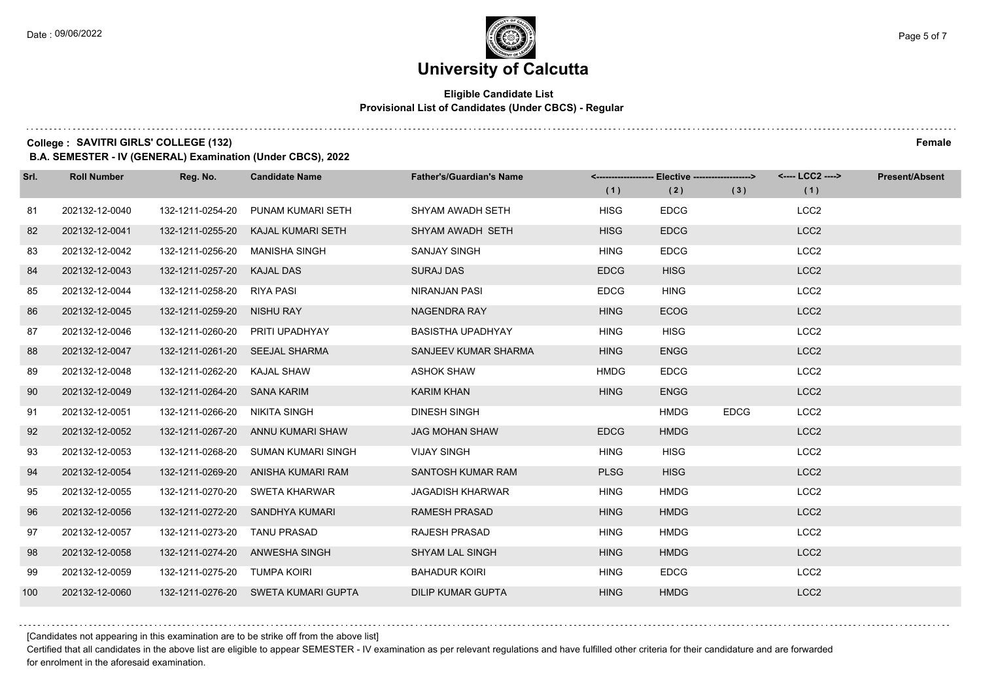#### **Eligible Candidate List Provisional List of Candidates (Under CBCS) - Regular**

**College :** SAVITRI GIRLS' COLLEGE (132) Female

**B.A. SEMESTER - IV (GENERAL) Examination (Under CBCS), 2022**

| Srl. | <b>Roll Number</b> | Reg. No.                       | <b>Candidate Name</b>               | <b>Father's/Guardian's Name</b> |             | <-------------------- Elective ------------------> |             | <---- LCC2 ----> | <b>Present/Absent</b> |
|------|--------------------|--------------------------------|-------------------------------------|---------------------------------|-------------|----------------------------------------------------|-------------|------------------|-----------------------|
|      |                    |                                |                                     |                                 | (1)         | (2)                                                | (3)         | (1)              |                       |
| 81   | 202132-12-0040     | 132-1211-0254-20               | PUNAM KUMARI SETH                   | SHYAM AWADH SETH                | <b>HISG</b> | <b>EDCG</b>                                        |             | LCC <sub>2</sub> |                       |
| 82   | 202132-12-0041     | 132-1211-0255-20               | KAJAL KUMARI SETH                   | SHYAM AWADH SETH                | <b>HISG</b> | <b>EDCG</b>                                        |             | LCC <sub>2</sub> |                       |
| 83   | 202132-12-0042     | 132-1211-0256-20               | <b>MANISHA SINGH</b>                | <b>SANJAY SINGH</b>             | <b>HING</b> | <b>EDCG</b>                                        |             | LCC <sub>2</sub> |                       |
| 84   | 202132-12-0043     | 132-1211-0257-20               | <b>KAJAL DAS</b>                    | <b>SURAJ DAS</b>                | <b>EDCG</b> | <b>HISG</b>                                        |             | LCC <sub>2</sub> |                       |
| 85   | 202132-12-0044     | 132-1211-0258-20 RIYA PASI     |                                     | <b>NIRANJAN PASI</b>            | <b>EDCG</b> | <b>HING</b>                                        |             | LCC <sub>2</sub> |                       |
| 86   | 202132-12-0045     | 132-1211-0259-20 NISHU RAY     |                                     | <b>NAGENDRA RAY</b>             | <b>HING</b> | <b>ECOG</b>                                        |             | LCC <sub>2</sub> |                       |
| 87   | 202132-12-0046     |                                | 132-1211-0260-20 PRITI UPADHYAY     | <b>BASISTHA UPADHYAY</b>        | <b>HING</b> | <b>HISG</b>                                        |             | LCC <sub>2</sub> |                       |
| 88   | 202132-12-0047     | 132-1211-0261-20 SEEJAL SHARMA |                                     | SANJEEV KUMAR SHARMA            | <b>HING</b> | <b>ENGG</b>                                        |             | LCC <sub>2</sub> |                       |
| 89   | 202132-12-0048     | 132-1211-0262-20 KAJAL SHAW    |                                     | ASHOK SHAW                      | <b>HMDG</b> | <b>EDCG</b>                                        |             | LCC <sub>2</sub> |                       |
| 90   | 202132-12-0049     | 132-1211-0264-20 SANA KARIM    |                                     | <b>KARIM KHAN</b>               | <b>HING</b> | <b>ENGG</b>                                        |             | LCC <sub>2</sub> |                       |
| 91   | 202132-12-0051     | 132-1211-0266-20 NIKITA SINGH  |                                     | <b>DINESH SINGH</b>             |             | <b>HMDG</b>                                        | <b>EDCG</b> | LCC <sub>2</sub> |                       |
| 92   | 202132-12-0052     |                                | 132-1211-0267-20 ANNU KUMARI SHAW   | <b>JAG MOHAN SHAW</b>           | <b>EDCG</b> | <b>HMDG</b>                                        |             | LCC <sub>2</sub> |                       |
| 93   | 202132-12-0053     | 132-1211-0268-20               | SUMAN KUMARI SINGH                  | <b>VIJAY SINGH</b>              | <b>HING</b> | <b>HISG</b>                                        |             | LCC <sub>2</sub> |                       |
| 94   | 202132-12-0054     | 132-1211-0269-20               | ANISHA KUMARI RAM                   | SANTOSH KUMAR RAM               | <b>PLSG</b> | <b>HISG</b>                                        |             | LCC <sub>2</sub> |                       |
| 95   | 202132-12-0055     |                                | 132-1211-0270-20 SWETA KHARWAR      | <b>JAGADISH KHARWAR</b>         | <b>HING</b> | <b>HMDG</b>                                        |             | LCC <sub>2</sub> |                       |
| 96   | 202132-12-0056     |                                | 132-1211-0272-20 SANDHYA KUMARI     | <b>RAMESH PRASAD</b>            | <b>HING</b> | <b>HMDG</b>                                        |             | LCC <sub>2</sub> |                       |
| 97   | 202132-12-0057     | 132-1211-0273-20               | <b>TANU PRASAD</b>                  | <b>RAJESH PRASAD</b>            | <b>HING</b> | <b>HMDG</b>                                        |             | LCC <sub>2</sub> |                       |
| 98   | 202132-12-0058     |                                | 132-1211-0274-20 ANWESHA SINGH      | <b>SHYAM LAL SINGH</b>          | <b>HING</b> | <b>HMDG</b>                                        |             | LCC <sub>2</sub> |                       |
| 99   | 202132-12-0059     | 132-1211-0275-20 TUMPA KOIRI   |                                     | <b>BAHADUR KOIRI</b>            | <b>HING</b> | <b>EDCG</b>                                        |             | LCC <sub>2</sub> |                       |
| 100  | 202132-12-0060     |                                | 132-1211-0276-20 SWETA KUMARI GUPTA | <b>DILIP KUMAR GUPTA</b>        | <b>HING</b> | <b>HMDG</b>                                        |             | LCC <sub>2</sub> |                       |

[Candidates not appearing in this examination are to be strike off from the above list]

Certified that all candidates in the above list are eligible to appear SEMESTER - IV examination as per relevant regulations and have fulfilled other criteria for their candidature and are forwarded for enrolment in the aforesaid examination.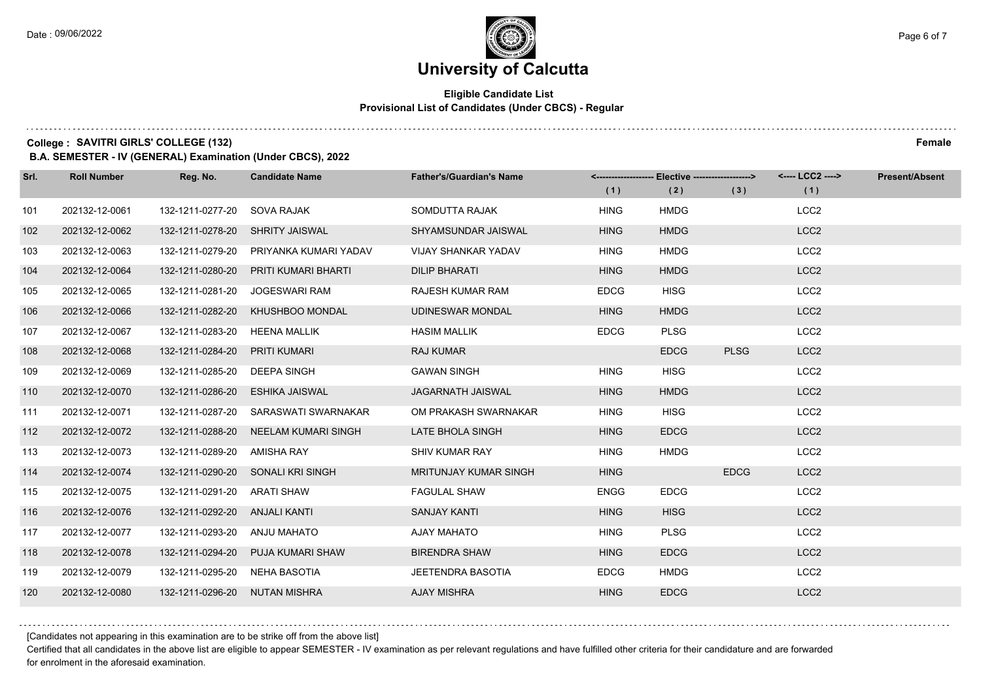#### **Eligible Candidate List Provisional List of Candidates (Under CBCS) - Regular**

**College :** SAVITRI GIRLS' COLLEGE (132) Female

**B.A. SEMESTER - IV (GENERAL) Examination (Under CBCS), 2022**

| Srl. | <b>Roll Number</b> | Reg. No.                      | <b>Candidate Name</b>             | <b>Father's/Guardian's Name</b> |             | <-------------------- Elective ------------------> |             | <---- LCC2 ----> | Present/Absent |
|------|--------------------|-------------------------------|-----------------------------------|---------------------------------|-------------|----------------------------------------------------|-------------|------------------|----------------|
|      |                    |                               |                                   |                                 | (1)         | (2)                                                | (3)         | (1)              |                |
| 101  | 202132-12-0061     | 132-1211-0277-20              | SOVA RAJAK                        | SOMDUTTA RAJAK                  | <b>HING</b> | <b>HMDG</b>                                        |             | LCC <sub>2</sub> |                |
| 102  | 202132-12-0062     | 132-1211-0278-20              | <b>SHRITY JAISWAL</b>             | SHYAMSUNDAR JAISWAL             | <b>HING</b> | <b>HMDG</b>                                        |             | LCC <sub>2</sub> |                |
| 103  | 202132-12-0063     | 132-1211-0279-20              | PRIYANKA KUMARI YADAV             | <b>VIJAY SHANKAR YADAV</b>      | <b>HING</b> | <b>HMDG</b>                                        |             | LCC <sub>2</sub> |                |
| 104  | 202132-12-0064     | 132-1211-0280-20              | PRITI KUMARI BHARTI               | <b>DILIP BHARATI</b>            | <b>HING</b> | <b>HMDG</b>                                        |             | LCC <sub>2</sub> |                |
| 105  | 202132-12-0065     | 132-1211-0281-20              | <b>JOGESWARI RAM</b>              | RAJESH KUMAR RAM                | <b>EDCG</b> | <b>HISG</b>                                        |             | LCC <sub>2</sub> |                |
| 106  | 202132-12-0066     | 132-1211-0282-20              | KHUSHBOO MONDAL                   | <b>UDINESWAR MONDAL</b>         | <b>HING</b> | <b>HMDG</b>                                        |             | LCC <sub>2</sub> |                |
| 107  | 202132-12-0067     | 132-1211-0283-20 HEENA MALLIK |                                   | <b>HASIM MALLIK</b>             | <b>EDCG</b> | <b>PLSG</b>                                        |             | LCC <sub>2</sub> |                |
| 108  | 202132-12-0068     | 132-1211-0284-20              | PRITI KUMARI                      | <b>RAJ KUMAR</b>                |             | <b>EDCG</b>                                        | <b>PLSG</b> | LCC <sub>2</sub> |                |
| 109  | 202132-12-0069     | 132-1211-0285-20              | DEEPA SINGH                       | <b>GAWAN SINGH</b>              | <b>HING</b> | <b>HISG</b>                                        |             | LCC <sub>2</sub> |                |
| 110  | 202132-12-0070     | 132-1211-0286-20              | <b>ESHIKA JAISWAL</b>             | <b>JAGARNATH JAISWAL</b>        | <b>HING</b> | <b>HMDG</b>                                        |             | LCC <sub>2</sub> |                |
| 111  | 202132-12-0071     | 132-1211-0287-20              | SARASWATI SWARNAKAR               | OM PRAKASH SWARNAKAR            | <b>HING</b> | <b>HISG</b>                                        |             | LCC <sub>2</sub> |                |
| 112  | 202132-12-0072     | 132-1211-0288-20              | NEELAM KUMARI SINGH               | LATE BHOLA SINGH                | <b>HING</b> | <b>EDCG</b>                                        |             | LCC <sub>2</sub> |                |
| 113  | 202132-12-0073     | 132-1211-0289-20              | AMISHA RAY                        | <b>SHIV KUMAR RAY</b>           | <b>HING</b> | <b>HMDG</b>                                        |             | LCC <sub>2</sub> |                |
| 114  | 202132-12-0074     |                               | 132-1211-0290-20 SONALI KRI SINGH | <b>MRITUNJAY KUMAR SINGH</b>    | <b>HING</b> |                                                    | <b>EDCG</b> | LCC <sub>2</sub> |                |
| 115  | 202132-12-0075     | 132-1211-0291-20              | ARATI SHAW                        | <b>FAGULAL SHAW</b>             | <b>ENGG</b> | <b>EDCG</b>                                        |             | LCC <sub>2</sub> |                |
| 116  | 202132-12-0076     | 132-1211-0292-20              | ANJALI KANTI                      | <b>SANJAY KANTI</b>             | <b>HING</b> | <b>HISG</b>                                        |             | LCC <sub>2</sub> |                |
| 117  | 202132-12-0077     | 132-1211-0293-20              | <b>ANJU MAHATO</b>                | <b>AJAY MAHATO</b>              | <b>HING</b> | <b>PLSG</b>                                        |             | LCC <sub>2</sub> |                |
| 118  | 202132-12-0078     | 132-1211-0294-20              | PUJA KUMARI SHAW                  | <b>BIRENDRA SHAW</b>            | <b>HING</b> | <b>EDCG</b>                                        |             | LCC <sub>2</sub> |                |
| 119  | 202132-12-0079     | 132-1211-0295-20              | NEHA BASOTIA                      | JEETENDRA BASOTIA               | <b>EDCG</b> | <b>HMDG</b>                                        |             | LCC <sub>2</sub> |                |
| 120  | 202132-12-0080     | 132-1211-0296-20 NUTAN MISHRA |                                   | <b>AJAY MISHRA</b>              | <b>HING</b> | <b>EDCG</b>                                        |             | LCC <sub>2</sub> |                |

[Candidates not appearing in this examination are to be strike off from the above list]

Certified that all candidates in the above list are eligible to appear SEMESTER - IV examination as per relevant regulations and have fulfilled other criteria for their candidature and are forwarded for enrolment in the aforesaid examination.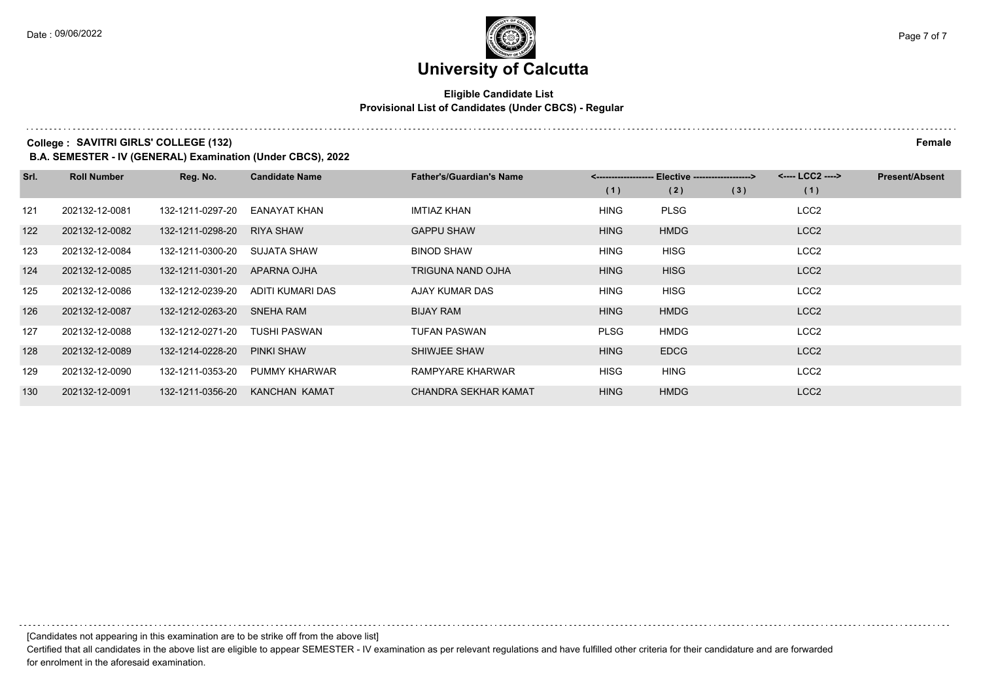#### **Eligible Candidate List Provisional List of Candidates (Under CBCS) - Regular**

**College :** SAVITRI GIRLS' COLLEGE (132) Female

**B.A. SEMESTER - IV (GENERAL) Examination (Under CBCS), 2022**

| Srl. | <b>Roll Number</b> | Reg. No.         | <b>Candidate Name</b> | <b>Father's/Guardian's Name</b> |             | <-------------------- Elective ------------------> |     | <---- LCC2 ----> | <b>Present/Absent</b> |
|------|--------------------|------------------|-----------------------|---------------------------------|-------------|----------------------------------------------------|-----|------------------|-----------------------|
|      |                    |                  |                       |                                 | (1)         | (2)                                                | (3) | (1)              |                       |
| 121  | 202132-12-0081     | 132-1211-0297-20 | EANAYAT KHAN          | <b>IMTIAZ KHAN</b>              | <b>HING</b> | <b>PLSG</b>                                        |     | LCC <sub>2</sub> |                       |
| 122  | 202132-12-0082     | 132-1211-0298-20 | <b>RIYA SHAW</b>      | <b>GAPPU SHAW</b>               | <b>HING</b> | <b>HMDG</b>                                        |     | LCC <sub>2</sub> |                       |
| 123  | 202132-12-0084     | 132-1211-0300-20 | SUJATA SHAW           | <b>BINOD SHAW</b>               | <b>HING</b> | <b>HISG</b>                                        |     | LCC <sub>2</sub> |                       |
| 124  | 202132-12-0085     | 132-1211-0301-20 | APARNA OJHA           | <b>TRIGUNA NAND OJHA</b>        | <b>HING</b> | <b>HISG</b>                                        |     | LCC <sub>2</sub> |                       |
| 125  | 202132-12-0086     | 132-1212-0239-20 | ADITI KUMARI DAS      | AJAY KUMAR DAS                  | <b>HING</b> | <b>HISG</b>                                        |     | LCC <sub>2</sub> |                       |
| 126  | 202132-12-0087     | 132-1212-0263-20 | <b>SNEHA RAM</b>      | <b>BIJAY RAM</b>                | <b>HING</b> | <b>HMDG</b>                                        |     | LCC <sub>2</sub> |                       |
| 127  | 202132-12-0088     | 132-1212-0271-20 | TUSHI PASWAN          | <b>TUFAN PASWAN</b>             | <b>PLSG</b> | HMDG                                               |     | LCC <sub>2</sub> |                       |
| 128  | 202132-12-0089     | 132-1214-0228-20 | <b>PINKI SHAW</b>     | SHIWJEE SHAW                    | <b>HING</b> | <b>EDCG</b>                                        |     | LCC <sub>2</sub> |                       |
| 129  | 202132-12-0090     | 132-1211-0353-20 | PUMMY KHARWAR         | RAMPYARE KHARWAR                | <b>HISG</b> | <b>HING</b>                                        |     | LCC <sub>2</sub> |                       |
| 130  | 202132-12-0091     | 132-1211-0356-20 | <b>KANCHAN KAMAT</b>  | <b>CHANDRA SEKHAR KAMAT</b>     | <b>HING</b> | <b>HMDG</b>                                        |     | LCC <sub>2</sub> |                       |

[Candidates not appearing in this examination are to be strike off from the above list]

Certified that all candidates in the above list are eligible to appear SEMESTER - IV examination as per relevant regulations and have fulfilled other criteria for their candidature and are forwarded for enrolment in the aforesaid examination.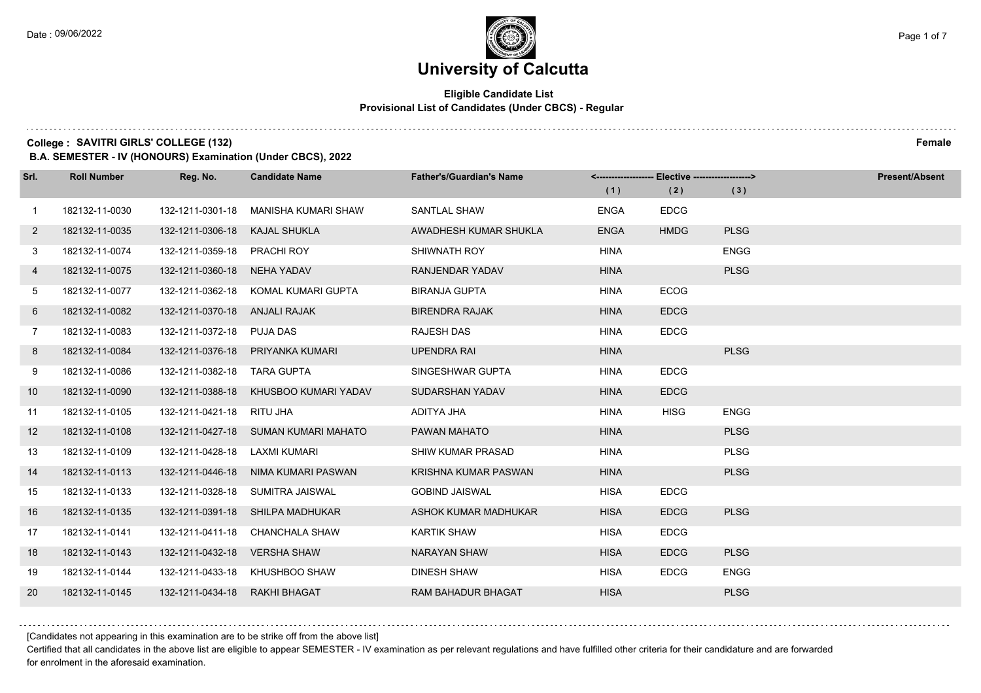# **University of Calcutta**

#### **Eligible Candidate List Provisional List of Candidates (Under CBCS) - Regular**

**College :** SAVITRI GIRLS' COLLEGE (132) Female

**B.A. SEMESTER - IV (HONOURS) Examination (Under CBCS), 2022**

| Srl.           | <b>Roll Number</b> | Reg. No.                      | <b>Candidate Name</b>                | <b>Father's/Guardian's Name</b> |             | <------------------- Elective ------------------> |             | <b>Present/Absent</b> |
|----------------|--------------------|-------------------------------|--------------------------------------|---------------------------------|-------------|---------------------------------------------------|-------------|-----------------------|
|                |                    |                               |                                      |                                 | (1)         | (2)                                               | (3)         |                       |
| $\overline{1}$ | 182132-11-0030     | 132-1211-0301-18              | MANISHA KUMARI SHAW                  | SANTLAL SHAW                    | <b>ENGA</b> | <b>EDCG</b>                                       |             |                       |
| $\mathbf{2}$   | 182132-11-0035     | 132-1211-0306-18              | KAJAL SHUKLA                         | AWADHESH KUMAR SHUKLA           | <b>ENGA</b> | <b>HMDG</b>                                       | <b>PLSG</b> |                       |
| 3              | 182132-11-0074     | 132-1211-0359-18 PRACHI ROY   |                                      | SHIWNATH ROY                    | <b>HINA</b> |                                                   | <b>ENGG</b> |                       |
| 4              | 182132-11-0075     | 132-1211-0360-18              | NEHA YADAV                           | RANJENDAR YADAV                 | <b>HINA</b> |                                                   | <b>PLSG</b> |                       |
| 5              | 182132-11-0077     | 132-1211-0362-18              | KOMAL KUMARI GUPTA                   | <b>BIRANJA GUPTA</b>            | <b>HINA</b> | <b>ECOG</b>                                       |             |                       |
| 6              | 182132-11-0082     | 132-1211-0370-18              | ANJALI RAJAK                         | <b>BIRENDRA RAJAK</b>           | <b>HINA</b> | <b>EDCG</b>                                       |             |                       |
| $\overline{7}$ | 182132-11-0083     | 132-1211-0372-18 PUJA DAS     |                                      | <b>RAJESH DAS</b>               | <b>HINA</b> | <b>EDCG</b>                                       |             |                       |
| 8              | 182132-11-0084     |                               | 132-1211-0376-18 PRIYANKA KUMARI     | <b>UPENDRA RAI</b>              | <b>HINA</b> |                                                   | <b>PLSG</b> |                       |
| 9              | 182132-11-0086     | 132-1211-0382-18 TARA GUPTA   |                                      | SINGESHWAR GUPTA                | <b>HINA</b> | <b>EDCG</b>                                       |             |                       |
| 10             | 182132-11-0090     | 132-1211-0388-18              | KHUSBOO KUMARI YADAV                 | SUDARSHAN YADAV                 | <b>HINA</b> | <b>EDCG</b>                                       |             |                       |
| 11             | 182132-11-0105     | 132-1211-0421-18 RITU JHA     |                                      | ADITYA JHA                      | <b>HINA</b> | <b>HISG</b>                                       | <b>ENGG</b> |                       |
| 12             | 182132-11-0108     |                               | 132-1211-0427-18 SUMAN KUMARI MAHATO | PAWAN MAHATO                    | <b>HINA</b> |                                                   | <b>PLSG</b> |                       |
| 13             | 182132-11-0109     | 132-1211-0428-18              | LAXMI KUMARI                         | <b>SHIW KUMAR PRASAD</b>        | <b>HINA</b> |                                                   | <b>PLSG</b> |                       |
| 14             | 182132-11-0113     | 132-1211-0446-18              | NIMA KUMARI PASWAN                   | KRISHNA KUMAR PASWAN            | <b>HINA</b> |                                                   | <b>PLSG</b> |                       |
| 15             | 182132-11-0133     |                               | 132-1211-0328-18 SUMITRA JAISWAL     | <b>GOBIND JAISWAL</b>           | <b>HISA</b> | <b>EDCG</b>                                       |             |                       |
| 16             | 182132-11-0135     |                               | 132-1211-0391-18 SHILPA MADHUKAR     | ASHOK KUMAR MADHUKAR            | <b>HISA</b> | <b>EDCG</b>                                       | <b>PLSG</b> |                       |
| 17             | 182132-11-0141     | 132-1211-0411-18              | <b>CHANCHALA SHAW</b>                | <b>KARTIK SHAW</b>              | <b>HISA</b> | <b>EDCG</b>                                       |             |                       |
| 18             | 182132-11-0143     | 132-1211-0432-18              | VERSHA SHAW                          | <b>NARAYAN SHAW</b>             | <b>HISA</b> | <b>EDCG</b>                                       | <b>PLSG</b> |                       |
| 19             | 182132-11-0144     |                               | 132-1211-0433-18 KHUSHBOO SHAW       | <b>DINESH SHAW</b>              | <b>HISA</b> | <b>EDCG</b>                                       | <b>ENGG</b> |                       |
| 20             | 182132-11-0145     | 132-1211-0434-18 RAKHI BHAGAT |                                      | <b>RAM BAHADUR BHAGAT</b>       | <b>HISA</b> |                                                   | <b>PLSG</b> |                       |

[Candidates not appearing in this examination are to be strike off from the above list]

Certified that all candidates in the above list are eligible to appear SEMESTER - IV examination as per relevant regulations and have fulfilled other criteria for their candidature and are forwarded for enrolment in the aforesaid examination.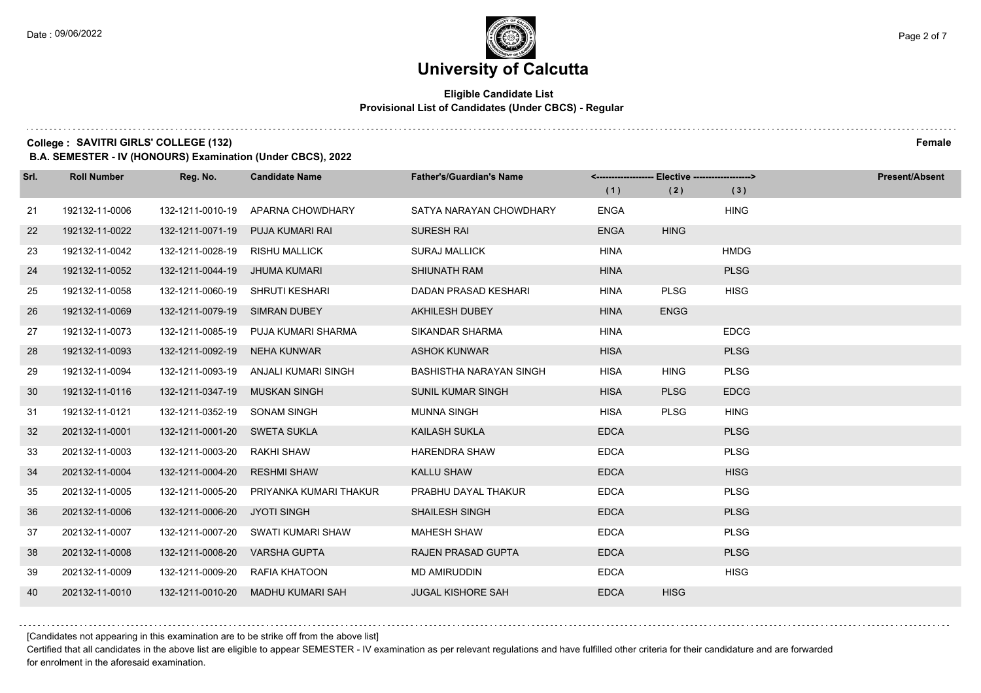# **University of Calcutta**

#### **Eligible Candidate List Provisional List of Candidates (Under CBCS) - Regular**

**College :** SAVITRI GIRLS' COLLEGE (132) Female

**B.A. SEMESTER - IV (HONOURS) Examination (Under CBCS), 2022**

| Srl. | <b>Roll Number</b> | Reg. No.                     | <b>Candidate Name</b>             | <b>Father's/Guardian's Name</b> |             | <-------------------- Elective -------------------> |             | <b>Present/Absent</b> |
|------|--------------------|------------------------------|-----------------------------------|---------------------------------|-------------|-----------------------------------------------------|-------------|-----------------------|
|      |                    |                              |                                   |                                 | (1)         | (2)                                                 | (3)         |                       |
| 21   | 192132-11-0006     | 132-1211-0010-19             | APARNA CHOWDHARY                  | SATYA NARAYAN CHOWDHARY         | <b>ENGA</b> |                                                     | <b>HING</b> |                       |
| 22   | 192132-11-0022     | 132-1211-0071-19             | <b>PUJA KUMARI RAI</b>            | <b>SURESH RAI</b>               | <b>ENGA</b> | <b>HING</b>                                         |             |                       |
| 23   | 192132-11-0042     | 132-1211-0028-19             | <b>RISHU MALLICK</b>              | <b>SURAJ MALLICK</b>            | <b>HINA</b> |                                                     | <b>HMDG</b> |                       |
| 24   | 192132-11-0052     | 132-1211-0044-19             | JHUMA KUMARI                      | SHIUNATH RAM                    | <b>HINA</b> |                                                     | <b>PLSG</b> |                       |
| 25   | 192132-11-0058     | 132-1211-0060-19             | SHRUTI KESHARI                    | DADAN PRASAD KESHARI            | <b>HINA</b> | <b>PLSG</b>                                         | <b>HISG</b> |                       |
| 26   | 192132-11-0069     | 132-1211-0079-19             | <b>SIMRAN DUBEY</b>               | <b>AKHILESH DUBEY</b>           | <b>HINA</b> | <b>ENGG</b>                                         |             |                       |
| 27   | 192132-11-0073     | 132-1211-0085-19             | PUJA KUMARI SHARMA                | SIKANDAR SHARMA                 | <b>HINA</b> |                                                     | <b>EDCG</b> |                       |
| 28   | 192132-11-0093     | 132-1211-0092-19             | NEHA KUNWAR                       | <b>ASHOK KUNWAR</b>             | <b>HISA</b> |                                                     | <b>PLSG</b> |                       |
| 29   | 192132-11-0094     | 132-1211-0093-19             | ANJALI KUMARI SINGH               | BASHISTHA NARAYAN SINGH         | <b>HISA</b> | <b>HING</b>                                         | <b>PLSG</b> |                       |
| 30   | 192132-11-0116     | 132-1211-0347-19             | <b>MUSKAN SINGH</b>               | SUNIL KUMAR SINGH               | <b>HISA</b> | <b>PLSG</b>                                         | <b>EDCG</b> |                       |
| 31   | 192132-11-0121     | 132-1211-0352-19 SONAM SINGH |                                   | <b>MUNNA SINGH</b>              | <b>HISA</b> | <b>PLSG</b>                                         | <b>HING</b> |                       |
| 32   | 202132-11-0001     | 132-1211-0001-20 SWETA SUKLA |                                   | <b>KAILASH SUKLA</b>            | <b>EDCA</b> |                                                     | <b>PLSG</b> |                       |
| 33   | 202132-11-0003     | 132-1211-0003-20             | RAKHI SHAW                        | <b>HARENDRA SHAW</b>            | <b>EDCA</b> |                                                     | <b>PLSG</b> |                       |
| 34   | 202132-11-0004     | 132-1211-0004-20             | <b>RESHMI SHAW</b>                | <b>KALLU SHAW</b>               | <b>EDCA</b> |                                                     | <b>HISG</b> |                       |
| 35   | 202132-11-0005     | 132-1211-0005-20             | PRIYANKA KUMARI THAKUR            | PRABHU DAYAL THAKUR             | <b>EDCA</b> |                                                     | <b>PLSG</b> |                       |
| 36   | 202132-11-0006     | 132-1211-0006-20 JYOTI SINGH |                                   | <b>SHAILESH SINGH</b>           | <b>EDCA</b> |                                                     | <b>PLSG</b> |                       |
| 37   | 202132-11-0007     | 132-1211-0007-20             | SWATI KUMARI SHAW                 | <b>MAHESH SHAW</b>              | <b>EDCA</b> |                                                     | <b>PLSG</b> |                       |
| 38   | 202132-11-0008     | 132-1211-0008-20             | <b>VARSHA GUPTA</b>               | <b>RAJEN PRASAD GUPTA</b>       | <b>EDCA</b> |                                                     | <b>PLSG</b> |                       |
| 39   | 202132-11-0009     | 132-1211-0009-20             | RAFIA KHATOON                     | <b>MD AMIRUDDIN</b>             | <b>EDCA</b> |                                                     | <b>HISG</b> |                       |
| 40   | 202132-11-0010     |                              | 132-1211-0010-20 MADHU KUMARI SAH | <b>JUGAL KISHORE SAH</b>        | <b>EDCA</b> | <b>HISG</b>                                         |             |                       |

[Candidates not appearing in this examination are to be strike off from the above list]

Certified that all candidates in the above list are eligible to appear SEMESTER - IV examination as per relevant regulations and have fulfilled other criteria for their candidature and are forwarded for enrolment in the aforesaid examination.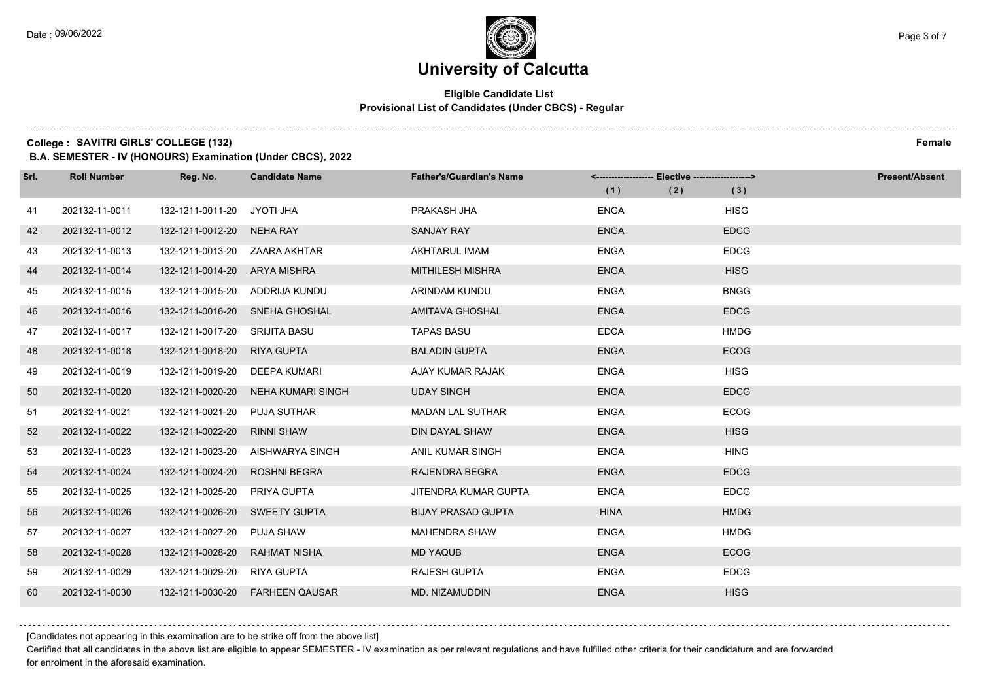$1.111$ 

### **University of Calcutta**

#### **Eligible Candidate List Provisional List of Candidates (Under CBCS) - Regular**

**College :** SAVITRI GIRLS' COLLEGE (132) Female

**B.A. SEMESTER - IV (HONOURS) Examination (Under CBCS), 2022**

| Srl. | <b>Roll Number</b> | Reg. No.                       | <b>Candidate Name</b>          | <b>Father's/Guardian's Name</b> |             |             | <b>Present/Absent</b> |
|------|--------------------|--------------------------------|--------------------------------|---------------------------------|-------------|-------------|-----------------------|
|      |                    |                                |                                |                                 | (1)<br>(2)  | (3)         |                       |
| 41   | 202132-11-0011     | 132-1211-0011-20 JYOTI JHA     |                                | PRAKASH JHA                     | <b>ENGA</b> | <b>HISG</b> |                       |
| 42   | 202132-11-0012     | 132-1211-0012-20 NEHA RAY      |                                | <b>SANJAY RAY</b>               | <b>ENGA</b> | <b>EDCG</b> |                       |
| 43   | 202132-11-0013     | 132-1211-0013-20  ZAARA AKHTAR |                                | AKHTARUL IMAM                   | <b>ENGA</b> | <b>EDCG</b> |                       |
| 44   | 202132-11-0014     | 132-1211-0014-20 ARYA MISHRA   |                                | <b>MITHILESH MISHRA</b>         | <b>ENGA</b> | <b>HISG</b> |                       |
| 45   | 202132-11-0015     | 132-1211-0015-20               | ADDRIJA KUNDU                  | ARINDAM KUNDU                   | <b>ENGA</b> | <b>BNGG</b> |                       |
| 46   | 202132-11-0016     |                                | 132-1211-0016-20 SNEHA GHOSHAL | <b>AMITAVA GHOSHAL</b>          | <b>ENGA</b> | <b>EDCG</b> |                       |
| 47   | 202132-11-0017     | 132-1211-0017-20 SRIJITA BASU  |                                | <b>TAPAS BASU</b>               | <b>EDCA</b> | <b>HMDG</b> |                       |
| 48   | 202132-11-0018     | 132-1211-0018-20               | <b>RIYA GUPTA</b>              | <b>BALADIN GUPTA</b>            | <b>ENGA</b> | <b>ECOG</b> |                       |
| 49   | 202132-11-0019     | 132-1211-0019-20               | DEEPA KUMARI                   | AJAY KUMAR RAJAK                | <b>ENGA</b> | <b>HISG</b> |                       |
| 50   | 202132-11-0020     | 132-1211-0020-20               | NEHA KUMARI SINGH              | <b>UDAY SINGH</b>               | <b>ENGA</b> | <b>EDCG</b> |                       |
| 51   | 202132-11-0021     | 132-1211-0021-20               | PUJA SUTHAR                    | <b>MADAN LAL SUTHAR</b>         | <b>ENGA</b> | <b>ECOG</b> |                       |
| 52   | 202132-11-0022     | 132-1211-0022-20               | <b>RINNI SHAW</b>              | DIN DAYAL SHAW                  | <b>ENGA</b> | <b>HISG</b> |                       |
| 53   | 202132-11-0023     | 132-1211-0023-20               | AISHWARYA SINGH                | ANIL KUMAR SINGH                | <b>ENGA</b> | <b>HING</b> |                       |
| 54   | 202132-11-0024     | 132-1211-0024-20               | <b>ROSHNI BEGRA</b>            | RAJENDRA BEGRA                  | <b>ENGA</b> | <b>EDCG</b> |                       |
| 55   | 202132-11-0025     | 132-1211-0025-20               | PRIYA GUPTA                    | JITENDRA KUMAR GUPTA            | <b>ENGA</b> | <b>EDCG</b> |                       |
| 56   | 202132-11-0026     | 132-1211-0026-20               | <b>SWEETY GUPTA</b>            | <b>BIJAY PRASAD GUPTA</b>       | <b>HINA</b> | <b>HMDG</b> |                       |
| 57   | 202132-11-0027     | 132-1211-0027-20               | <b>PUJA SHAW</b>               | <b>MAHENDRA SHAW</b>            | <b>ENGA</b> | <b>HMDG</b> |                       |
| 58   | 202132-11-0028     | 132-1211-0028-20               | <b>RAHMAT NISHA</b>            | <b>MD YAQUB</b>                 | <b>ENGA</b> | <b>ECOG</b> |                       |
| 59   | 202132-11-0029     | 132-1211-0029-20               | RIYA GUPTA                     | <b>RAJESH GUPTA</b>             | <b>ENGA</b> | <b>EDCG</b> |                       |
| 60   | 202132-11-0030     | 132-1211-0030-20               | <b>FARHEEN QAUSAR</b>          | MD. NIZAMUDDIN                  | <b>ENGA</b> | <b>HISG</b> |                       |

[Candidates not appearing in this examination are to be strike off from the above list]

Certified that all candidates in the above list are eligible to appear SEMESTER - IV examination as per relevant regulations and have fulfilled other criteria for their candidature and are forwarded for enrolment in the aforesaid examination.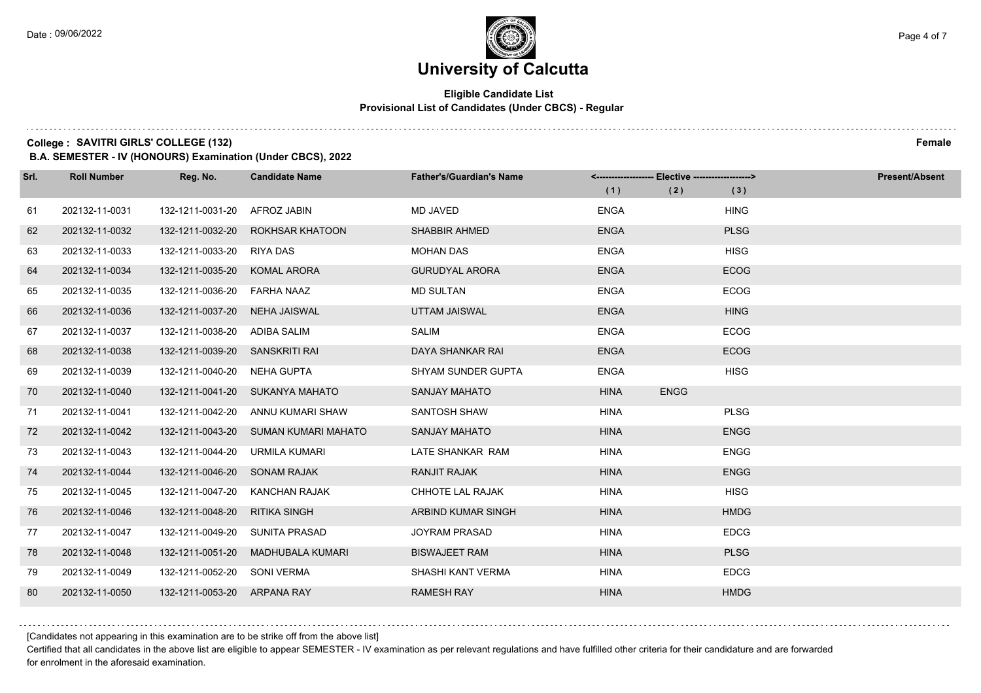#### **Eligible Candidate List Provisional List of Candidates (Under CBCS) - Regular**

**College :** SAVITRI GIRLS' COLLEGE (132) Female

**B.A. SEMESTER - IV (HONOURS) Examination (Under CBCS), 2022**

| Srl. | <b>Roll Number</b> | Reg. No.                       | <b>Candidate Name</b>                | <b>Father's/Guardian's Name</b> |             |             |             | <b>Present/Absent</b> |
|------|--------------------|--------------------------------|--------------------------------------|---------------------------------|-------------|-------------|-------------|-----------------------|
|      |                    |                                |                                      |                                 | (1)         | (2)         | (3)         |                       |
| 61   | 202132-11-0031     | 132-1211-0031-20               | AFROZ JABIN                          | <b>MD JAVED</b>                 | <b>ENGA</b> |             | <b>HING</b> |                       |
| 62   | 202132-11-0032     | 132-1211-0032-20               | <b>ROKHSAR KHATOON</b>               | <b>SHABBIR AHMED</b>            | <b>ENGA</b> |             | <b>PLSG</b> |                       |
| 63   | 202132-11-0033     | 132-1211-0033-20 RIYA DAS      |                                      | <b>MOHAN DAS</b>                | <b>ENGA</b> |             | <b>HISG</b> |                       |
| 64   | 202132-11-0034     | 132-1211-0035-20               | <b>KOMAL ARORA</b>                   | <b>GURUDYAL ARORA</b>           | <b>ENGA</b> |             | <b>ECOG</b> |                       |
| 65   | 202132-11-0035     | 132-1211-0036-20               | <b>FARHA NAAZ</b>                    | <b>MD SULTAN</b>                | <b>ENGA</b> |             | <b>ECOG</b> |                       |
| 66   | 202132-11-0036     | 132-1211-0037-20               | NEHA JAISWAL                         | UTTAM JAISWAL                   | <b>ENGA</b> |             | <b>HING</b> |                       |
| 67   | 202132-11-0037     | 132-1211-0038-20 ADIBA SALIM   |                                      | <b>SALIM</b>                    | <b>ENGA</b> |             | <b>ECOG</b> |                       |
| 68   | 202132-11-0038     | 132-1211-0039-20 SANSKRITI RAI |                                      | DAYA SHANKAR RAI                | <b>ENGA</b> |             | <b>ECOG</b> |                       |
| 69   | 202132-11-0039     | 132-1211-0040-20               | NEHA GUPTA                           | <b>SHYAM SUNDER GUPTA</b>       | <b>ENGA</b> |             | <b>HISG</b> |                       |
| 70   | 202132-11-0040     |                                | 132-1211-0041-20 SUKANYA MAHATO      | <b>SANJAY MAHATO</b>            | <b>HINA</b> | <b>ENGG</b> |             |                       |
| 71   | 202132-11-0041     | 132-1211-0042-20               | ANNU KUMARI SHAW                     | SANTOSH SHAW                    | <b>HINA</b> |             | <b>PLSG</b> |                       |
| 72   | 202132-11-0042     |                                | 132-1211-0043-20 SUMAN KUMARI MAHATO | <b>SANJAY MAHATO</b>            | <b>HINA</b> |             | <b>ENGG</b> |                       |
| 73   | 202132-11-0043     | 132-1211-0044-20               | URMILA KUMARI                        | LATE SHANKAR RAM                | <b>HINA</b> |             | <b>ENGG</b> |                       |
| 74   | 202132-11-0044     | 132-1211-0046-20 SONAM RAJAK   |                                      | <b>RANJIT RAJAK</b>             | <b>HINA</b> |             | <b>ENGG</b> |                       |
| 75   | 202132-11-0045     | 132-1211-0047-20               | KANCHAN RAJAK                        | CHHOTE LAL RAJAK                | <b>HINA</b> |             | <b>HISG</b> |                       |
| 76   | 202132-11-0046     | 132-1211-0048-20               | <b>RITIKA SINGH</b>                  | ARBIND KUMAR SINGH              | <b>HINA</b> |             | <b>HMDG</b> |                       |
| 77   | 202132-11-0047     | 132-1211-0049-20               | <b>SUNITA PRASAD</b>                 | <b>JOYRAM PRASAD</b>            | <b>HINA</b> |             | <b>EDCG</b> |                       |
| 78   | 202132-11-0048     | 132-1211-0051-20               | MADHUBALA KUMARI                     | <b>BISWAJEET RAM</b>            | <b>HINA</b> |             | <b>PLSG</b> |                       |
| 79   | 202132-11-0049     | 132-1211-0052-20               | <b>SONI VERMA</b>                    | SHASHI KANT VERMA               | <b>HINA</b> |             | <b>EDCG</b> |                       |
| 80   | 202132-11-0050     | 132-1211-0053-20 ARPANA RAY    |                                      | <b>RAMESH RAY</b>               | <b>HINA</b> |             | <b>HMDG</b> |                       |

[Candidates not appearing in this examination are to be strike off from the above list]

Certified that all candidates in the above list are eligible to appear SEMESTER - IV examination as per relevant regulations and have fulfilled other criteria for their candidature and are forwarded for enrolment in the aforesaid examination.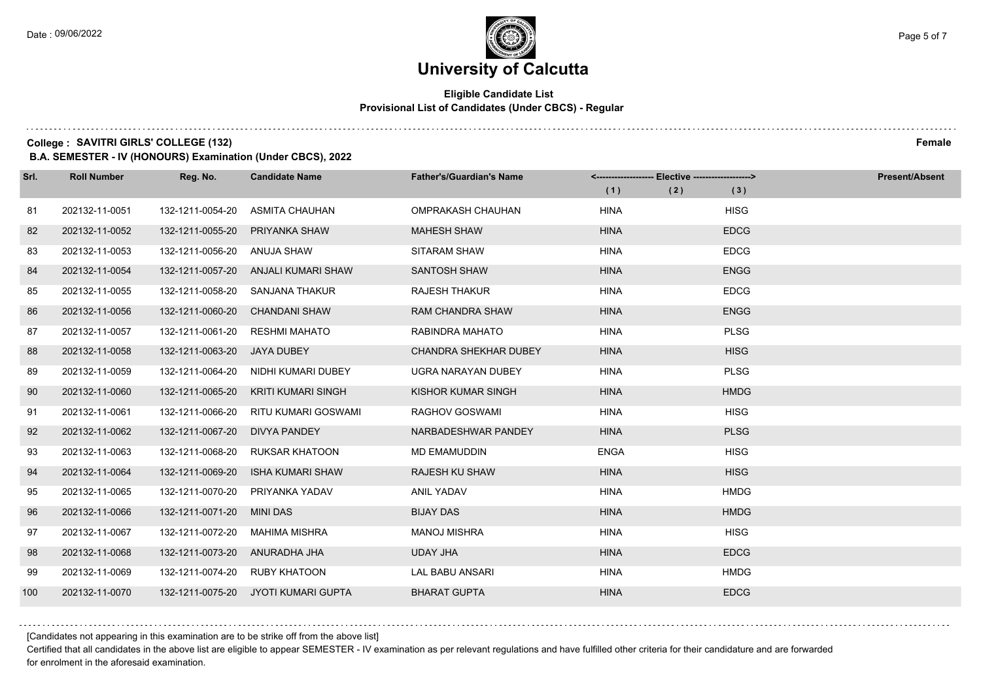$1.111$ 

### **University of Calcutta**

#### **Eligible Candidate List Provisional List of Candidates (Under CBCS) - Regular**

**College :** SAVITRI GIRLS' COLLEGE (132) Female

**B.A. SEMESTER - IV (HONOURS) Examination (Under CBCS), 2022**

| Srl. | <b>Roll Number</b> | Reg. No.         | <b>Candidate Name</b>     | <b>Father's/Guardian's Name</b> |             | <-------------------- Elective -------------------> |             | <b>Present/Absent</b> |
|------|--------------------|------------------|---------------------------|---------------------------------|-------------|-----------------------------------------------------|-------------|-----------------------|
|      |                    |                  |                           |                                 | (1)         | (2)                                                 | (3)         |                       |
| 81   | 202132-11-0051     | 132-1211-0054-20 | ASMITA CHAUHAN            | OMPRAKASH CHAUHAN               | <b>HINA</b> |                                                     | <b>HISG</b> |                       |
| 82   | 202132-11-0052     | 132-1211-0055-20 | PRIYANKA SHAW             | <b>MAHESH SHAW</b>              | <b>HINA</b> |                                                     | <b>EDCG</b> |                       |
| 83   | 202132-11-0053     | 132-1211-0056-20 | ANUJA SHAW                | SITARAM SHAW                    | <b>HINA</b> |                                                     | <b>EDCG</b> |                       |
| 84   | 202132-11-0054     | 132-1211-0057-20 | ANJALI KUMARI SHAW        | <b>SANTOSH SHAW</b>             | <b>HINA</b> |                                                     | <b>ENGG</b> |                       |
| 85   | 202132-11-0055     | 132-1211-0058-20 | SANJANA THAKUR            | <b>RAJESH THAKUR</b>            | <b>HINA</b> |                                                     | <b>EDCG</b> |                       |
| 86   | 202132-11-0056     | 132-1211-0060-20 | <b>CHANDANI SHAW</b>      | <b>RAM CHANDRA SHAW</b>         | <b>HINA</b> |                                                     | <b>ENGG</b> |                       |
| 87   | 202132-11-0057     | 132-1211-0061-20 | <b>RESHMI MAHATO</b>      | RABINDRA MAHATO                 | <b>HINA</b> |                                                     | <b>PLSG</b> |                       |
| 88   | 202132-11-0058     | 132-1211-0063-20 | JAYA DUBEY                | <b>CHANDRA SHEKHAR DUBEY</b>    | <b>HINA</b> |                                                     | <b>HISG</b> |                       |
| 89   | 202132-11-0059     | 132-1211-0064-20 | NIDHI KUMARI DUBEY        | <b>UGRA NARAYAN DUBEY</b>       | <b>HINA</b> |                                                     | <b>PLSG</b> |                       |
| 90   | 202132-11-0060     | 132-1211-0065-20 | <b>KRITI KUMARI SINGH</b> | KISHOR KUMAR SINGH              | <b>HINA</b> |                                                     | <b>HMDG</b> |                       |
| 91   | 202132-11-0061     | 132-1211-0066-20 | RITU KUMARI GOSWAMI       | RAGHOV GOSWAMI                  | <b>HINA</b> |                                                     | <b>HISG</b> |                       |
| 92   | 202132-11-0062     | 132-1211-0067-20 | DIVYA PANDEY              | NARBADESHWAR PANDEY             | <b>HINA</b> |                                                     | <b>PLSG</b> |                       |
| 93   | 202132-11-0063     | 132-1211-0068-20 | <b>RUKSAR KHATOON</b>     | <b>MD EMAMUDDIN</b>             | <b>ENGA</b> |                                                     | <b>HISG</b> |                       |
| 94   | 202132-11-0064     | 132-1211-0069-20 | ISHA KUMARI SHAW          | <b>RAJESH KU SHAW</b>           | <b>HINA</b> |                                                     | <b>HISG</b> |                       |
| 95   | 202132-11-0065     | 132-1211-0070-20 | PRIYANKA YADAV            | <b>ANIL YADAV</b>               | <b>HINA</b> |                                                     | <b>HMDG</b> |                       |
| 96   | 202132-11-0066     | 132-1211-0071-20 | <b>MINI DAS</b>           | <b>BIJAY DAS</b>                | <b>HINA</b> |                                                     | <b>HMDG</b> |                       |
| 97   | 202132-11-0067     | 132-1211-0072-20 | <b>MAHIMA MISHRA</b>      | <b>MANOJ MISHRA</b>             | <b>HINA</b> |                                                     | <b>HISG</b> |                       |
| 98   | 202132-11-0068     | 132-1211-0073-20 | ANURADHA JHA              | <b>UDAY JHA</b>                 | <b>HINA</b> |                                                     | <b>EDCG</b> |                       |
| 99   | 202132-11-0069     | 132-1211-0074-20 | RUBY KHATOON              | <b>LAL BABU ANSARI</b>          | <b>HINA</b> |                                                     | <b>HMDG</b> |                       |
| 100  | 202132-11-0070     | 132-1211-0075-20 | JYOTI KUMARI GUPTA        | <b>BHARAT GUPTA</b>             | <b>HINA</b> |                                                     | <b>EDCG</b> |                       |

[Candidates not appearing in this examination are to be strike off from the above list]

Certified that all candidates in the above list are eligible to appear SEMESTER - IV examination as per relevant regulations and have fulfilled other criteria for their candidature and are forwarded for enrolment in the aforesaid examination.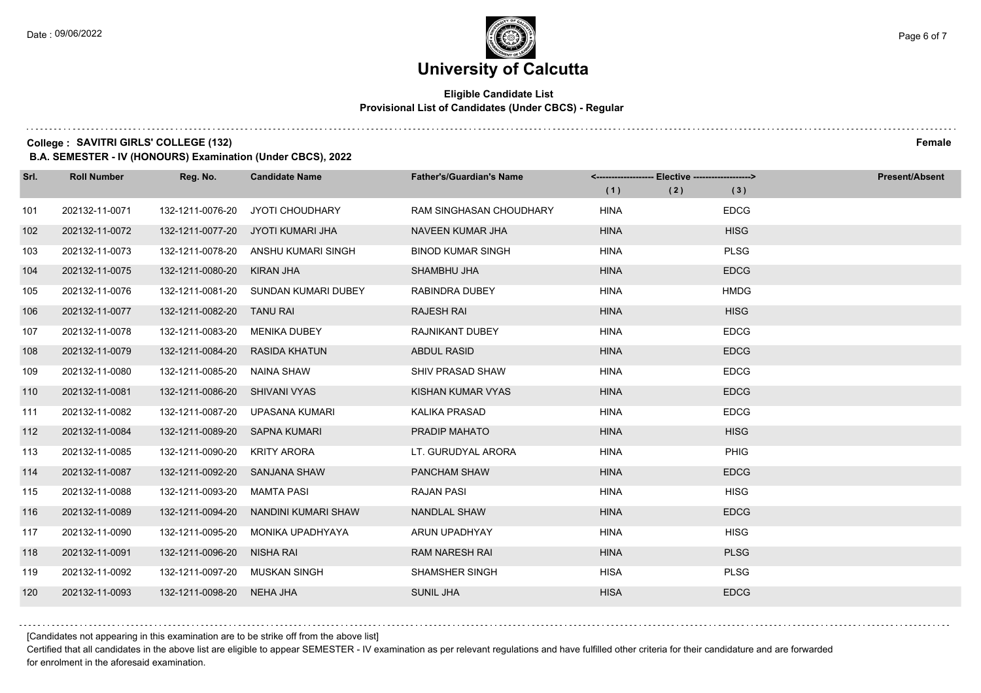#### **Eligible Candidate List Provisional List of Candidates (Under CBCS) - Regular**

**College :** SAVITRI GIRLS' COLLEGE (132) Female

**B.A. SEMESTER - IV (HONOURS) Examination (Under CBCS), 2022**

| Srl. | <b>Roll Number</b> | Reg. No.                      | <b>Candidate Name</b>           | <b>Father's/Guardian's Name</b> | (1)         | <------------------- Elective -------------------><br>(2) | (3)         | <b>Present/Absent</b> |
|------|--------------------|-------------------------------|---------------------------------|---------------------------------|-------------|-----------------------------------------------------------|-------------|-----------------------|
| 101  | 202132-11-0071     | 132-1211-0076-20              | <b>JYOTI CHOUDHARY</b>          | <b>RAM SINGHASAN CHOUDHARY</b>  | <b>HINA</b> |                                                           | <b>EDCG</b> |                       |
| 102  | 202132-11-0072     | 132-1211-0077-20              | JYOTI KUMARI JHA                | NAVEEN KUMAR JHA                | <b>HINA</b> |                                                           | <b>HISG</b> |                       |
| 103  | 202132-11-0073     | 132-1211-0078-20              | ANSHU KUMARI SINGH              | <b>BINOD KUMAR SINGH</b>        | <b>HINA</b> |                                                           | <b>PLSG</b> |                       |
| 104  | 202132-11-0075     | 132-1211-0080-20              | KIRAN JHA                       | SHAMBHU JHA                     | <b>HINA</b> |                                                           | <b>EDCG</b> |                       |
| 105  | 202132-11-0076     | 132-1211-0081-20              | SUNDAN KUMARI DUBEY             | RABINDRA DUBEY                  | <b>HINA</b> |                                                           | <b>HMDG</b> |                       |
| 106  | 202132-11-0077     | 132-1211-0082-20              | <b>TANU RAI</b>                 | <b>RAJESH RAI</b>               | <b>HINA</b> |                                                           | <b>HISG</b> |                       |
| 107  | 202132-11-0078     | 132-1211-0083-20              | MENIKA DUBEY                    | RAJNIKANT DUBEY                 | <b>HINA</b> |                                                           | <b>EDCG</b> |                       |
| 108  | 202132-11-0079     | 132-1211-0084-20              | <b>RASIDA KHATUN</b>            | <b>ABDUL RASID</b>              | <b>HINA</b> |                                                           | <b>EDCG</b> |                       |
| 109  | 202132-11-0080     | 132-1211-0085-20              | NAINA SHAW                      | SHIV PRASAD SHAW                | <b>HINA</b> |                                                           | <b>EDCG</b> |                       |
| 110  | 202132-11-0081     | 132-1211-0086-20              | SHIVANI VYAS                    | KISHAN KUMAR VYAS               | <b>HINA</b> |                                                           | <b>EDCG</b> |                       |
| 111  | 202132-11-0082     |                               | 132-1211-0087-20 UPASANA KUMARI | <b>KALIKA PRASAD</b>            | <b>HINA</b> |                                                           | <b>EDCG</b> |                       |
| 112  | 202132-11-0084     | 132-1211-0089-20 SAPNA KUMARI |                                 | PRADIP MAHATO                   | <b>HINA</b> |                                                           | <b>HISG</b> |                       |
| 113  | 202132-11-0085     | 132-1211-0090-20              | <b>KRITY ARORA</b>              | LT. GURUDYAL ARORA              | <b>HINA</b> |                                                           | <b>PHIG</b> |                       |
| 114  | 202132-11-0087     | 132-1211-0092-20 SANJANA SHAW |                                 | PANCHAM SHAW                    | <b>HINA</b> |                                                           | <b>EDCG</b> |                       |
| 115  | 202132-11-0088     | 132-1211-0093-20              | MAMTA PASI                      | <b>RAJAN PASI</b>               | <b>HINA</b> |                                                           | <b>HISG</b> |                       |
| 116  | 202132-11-0089     | 132-1211-0094-20              | NANDINI KUMARI SHAW             | <b>NANDLAL SHAW</b>             | <b>HINA</b> |                                                           | <b>EDCG</b> |                       |
| 117  | 202132-11-0090     | 132-1211-0095-20              | MONIKA UPADHYAYA                | ARUN UPADHYAY                   | <b>HINA</b> |                                                           | <b>HISG</b> |                       |
| 118  | 202132-11-0091     | 132-1211-0096-20              | NISHA RAI                       | <b>RAM NARESH RAI</b>           | <b>HINA</b> |                                                           | <b>PLSG</b> |                       |
| 119  | 202132-11-0092     | 132-1211-0097-20              | MUSKAN SINGH                    | SHAMSHER SINGH                  | <b>HISA</b> |                                                           | <b>PLSG</b> |                       |
| 120  | 202132-11-0093     | 132-1211-0098-20              | NEHA JHA                        | <b>SUNIL JHA</b>                | <b>HISA</b> |                                                           | <b>EDCG</b> |                       |

[Candidates not appearing in this examination are to be strike off from the above list]

Certified that all candidates in the above list are eligible to appear SEMESTER - IV examination as per relevant regulations and have fulfilled other criteria for their candidature and are forwarded for enrolment in the aforesaid examination.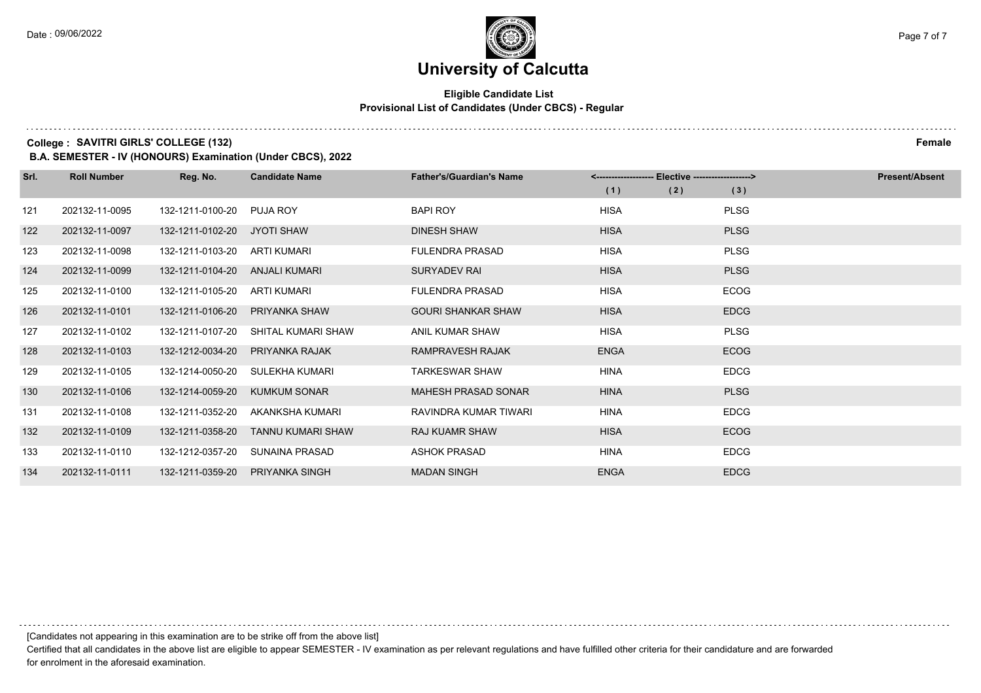#### **Eligible Candidate List Provisional List of Candidates (Under CBCS) - Regular**

**College :** SAVITRI GIRLS' COLLEGE (132) Female

**B.A. SEMESTER - IV (HONOURS) Examination (Under CBCS), 2022**

| Srl. | <b>Roll Number</b> | Reg. No.         | <b>Candidate Name</b>    | <b>Father's/Guardian's Name</b> |             | <-------------------- Elective -------------------> |             | <b>Present/Absent</b> |  |
|------|--------------------|------------------|--------------------------|---------------------------------|-------------|-----------------------------------------------------|-------------|-----------------------|--|
|      |                    |                  |                          |                                 | (1)         | (2)                                                 | (3)         |                       |  |
| 121  | 202132-11-0095     | 132-1211-0100-20 | PUJA ROY                 | <b>BAPI ROY</b>                 | <b>HISA</b> |                                                     | <b>PLSG</b> |                       |  |
| 122  | 202132-11-0097     | 132-1211-0102-20 | <b>JYOTI SHAW</b>        | <b>DINESH SHAW</b>              | <b>HISA</b> |                                                     | <b>PLSG</b> |                       |  |
| 123  | 202132-11-0098     | 132-1211-0103-20 | ARTI KUMARI              | <b>FULENDRA PRASAD</b>          | <b>HISA</b> |                                                     | <b>PLSG</b> |                       |  |
| 124  | 202132-11-0099     | 132-1211-0104-20 | ANJALI KUMARI            | SURYADEV RAI                    | <b>HISA</b> |                                                     | <b>PLSG</b> |                       |  |
| 125  | 202132-11-0100     | 132-1211-0105-20 | <b>ARTI KUMARI</b>       | <b>FULENDRA PRASAD</b>          | <b>HISA</b> |                                                     | <b>ECOG</b> |                       |  |
| 126  | 202132-11-0101     | 132-1211-0106-20 | PRIYANKA SHAW            | <b>GOURI SHANKAR SHAW</b>       | <b>HISA</b> |                                                     | <b>EDCG</b> |                       |  |
| 127  | 202132-11-0102     | 132-1211-0107-20 | SHITAL KUMARI SHAW       | ANIL KUMAR SHAW                 | <b>HISA</b> |                                                     | <b>PLSG</b> |                       |  |
| 128  | 202132-11-0103     | 132-1212-0034-20 | PRIYANKA RAJAK           | RAMPRAVESH RAJAK                | <b>ENGA</b> |                                                     | <b>ECOG</b> |                       |  |
| 129  | 202132-11-0105     | 132-1214-0050-20 | SULEKHA KUMARI           | <b>TARKESWAR SHAW</b>           | <b>HINA</b> |                                                     | <b>EDCG</b> |                       |  |
| 130  | 202132-11-0106     | 132-1214-0059-20 | <b>KUMKUM SONAR</b>      | <b>MAHESH PRASAD SONAR</b>      | <b>HINA</b> |                                                     | <b>PLSG</b> |                       |  |
| 131  | 202132-11-0108     | 132-1211-0352-20 | AKANKSHA KUMARI          | RAVINDRA KUMAR TIWARI           | <b>HINA</b> |                                                     | <b>EDCG</b> |                       |  |
| 132  | 202132-11-0109     | 132-1211-0358-20 | <b>TANNU KUMARI SHAW</b> | <b>RAJ KUAMR SHAW</b>           | <b>HISA</b> |                                                     | <b>ECOG</b> |                       |  |
| 133  | 202132-11-0110     | 132-1212-0357-20 | SUNAINA PRASAD           | <b>ASHOK PRASAD</b>             | <b>HINA</b> |                                                     | <b>EDCG</b> |                       |  |
| 134  | 202132-11-0111     | 132-1211-0359-20 | PRIYANKA SINGH           | <b>MADAN SINGH</b>              | <b>ENGA</b> |                                                     | <b>EDCG</b> |                       |  |

[Candidates not appearing in this examination are to be strike off from the above list]

Certified that all candidates in the above list are eligible to appear SEMESTER - IV examination as per relevant regulations and have fulfilled other criteria for their candidature and are forwarded for enrolment in the aforesaid examination.